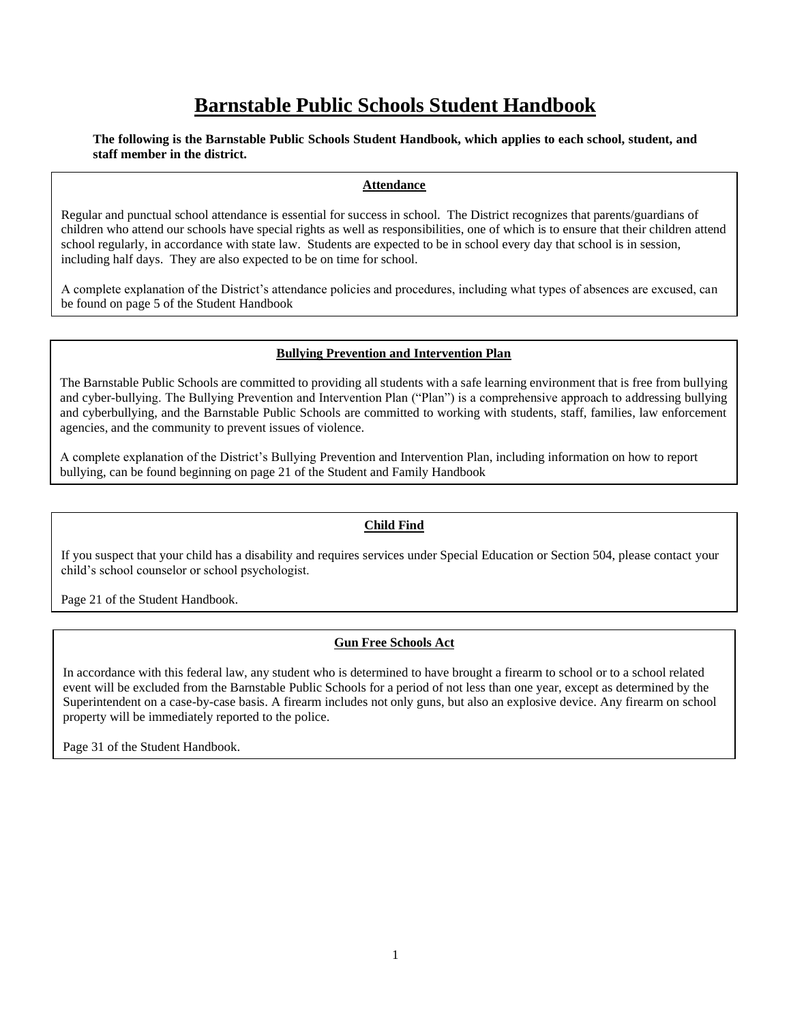# **Barnstable Public Schools Student Handbook**

### **The following is the Barnstable Public Schools Student Handbook, which applies to each school, student, and staff member in the district.**

### **Attendance**

Regular and punctual school attendance is essential for success in school. The District recognizes that parents/guardians of children who attend our schools have special rights as well as responsibilities, one of which is to ensure that their children attend school regularly, in accordance with state law. Students are expected to be in school every day that school is in session, including half days. They are also expected to be on time for school.

A complete explanation of the District's attendance policies and procedures, including what types of absences are excused, can be found on page 5 of the Student Handbook

### **Bullying Prevention and Intervention Plan**

The Barnstable Public Schools are committed to providing all students with a safe learning environment that is free from bullying and cyber-bullying. The Bullying Prevention and Intervention Plan ("Plan") is a comprehensive approach to addressing bullying and cyberbullying, and the Barnstable Public Schools are committed to working with students, staff, families, law enforcement agencies, and the community to prevent issues of violence.

A complete explanation of the District's Bullying Prevention and Intervention Plan, including information on how to report bullying, can be found beginning on page 21 of the Student and Family Handbook

### **Child Find**

If you suspect that your child has a disability and requires services under Special Education or Section 504, please contact your child's school counselor or school psychologist.

Page 21 of the Student Handbook.

### **Gun Free Schools Act**

In accordance with this federal law, any student who is determined to have brought a firearm to school or to a school related event will be excluded from the Barnstable Public Schools for a period of not less than one year, except as determined by the Superintendent on a case-by-case basis. A firearm includes not only guns, but also an explosive device. Any firearm on school property will be immediately reported to the police.

Page 31 of the Student Handbook.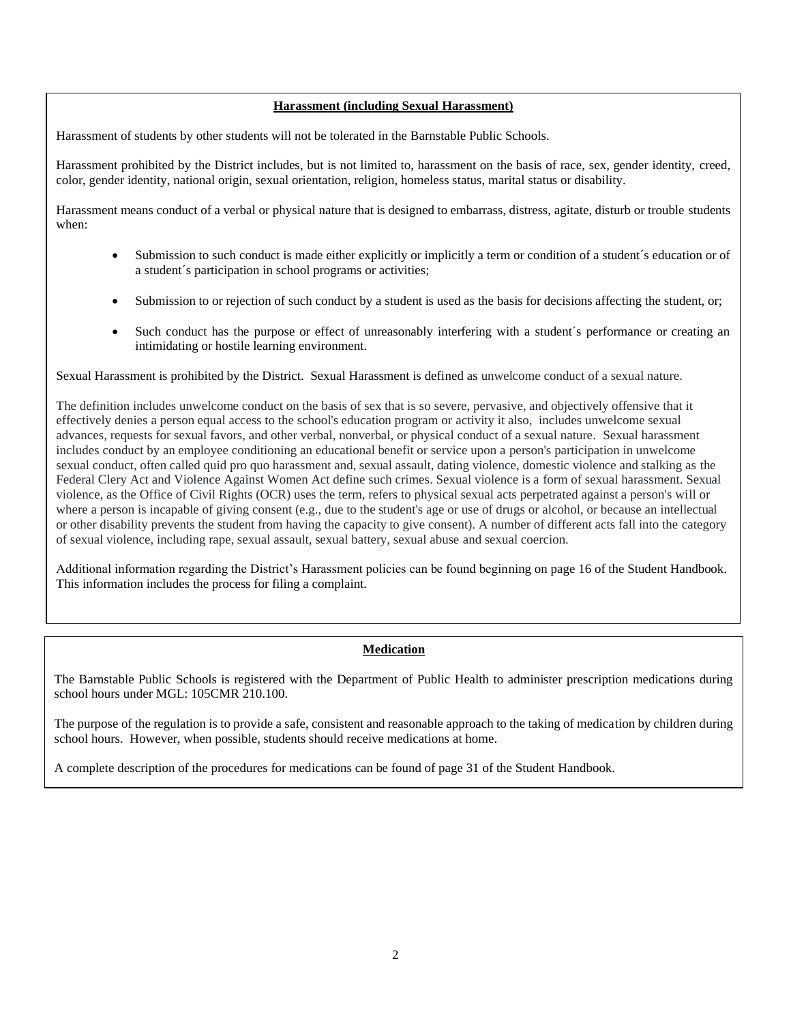### **Harassment (including Sexual Harassment)**

Harassment of students by other students will not be tolerated in the Barnstable Public Schools.

Harassment prohibited by the District includes, but is not limited to, harassment on the basis of race, sex, gender identity, creed, color, gender identity, national origin, sexual orientation, religion, homeless status, marital status or disability.

Harassment means conduct of a verbal or physical nature that is designed to embarrass, distress, agitate, disturb or trouble students when:

- Submission to such conduct is made either explicitly or implicitly a term or condition of a student's education or of a student´s participation in school programs or activities;
- Submission to or rejection of such conduct by a student is used as the basis for decisions affecting the student, or;
- Such conduct has the purpose or effect of unreasonably interfering with a student's performance or creating an intimidating or hostile learning environment.

Sexual Harassment is prohibited by the District. Sexual Harassment is defined as unwelcome conduct of a sexual nature.

The definition includes unwelcome conduct on the basis of sex that is so severe, pervasive, and objectively offensive that it effectively denies a person equal access to the school's education program or activity it also, includes unwelcome sexual advances, requests for sexual favors, and other verbal, nonverbal, or physical conduct of a sexual nature. Sexual harassment includes conduct by an employee conditioning an educational benefit or service upon a person's participation in unwelcome sexual conduct, often called quid pro quo harassment and, sexual assault, dating violence, domestic violence and stalking as the Federal Clery Act and Violence Against Women Act define such crimes. Sexual violence is a form of sexual harassment. Sexual violence, as the Office of Civil Rights (OCR) uses the term, refers to physical sexual acts perpetrated against a person's will or where a person is incapable of giving consent (e.g., due to the student's age or use of drugs or alcohol, or because an intellectual or other disability prevents the student from having the capacity to give consent). A number of different acts fall into the category of sexual violence, including rape, sexual assault, sexual battery, sexual abuse and sexual coercion.

Additional information regarding the District's Harassment policies can be found beginning on page 16 of the Student Handbook. This information includes the process for filing a complaint.

### **Medication**

The Barnstable Public Schools is registered with the Department of Public Health to administer prescription medications during school hours under MGL: 105CMR 210.100.

The purpose of the regulation is to provide a safe, consistent and reasonable approach to the taking of medication by children during school hours. However, when possible, students should receive medications at home.

A complete description of the procedures for medications can be found of page 31 of the Student Handbook.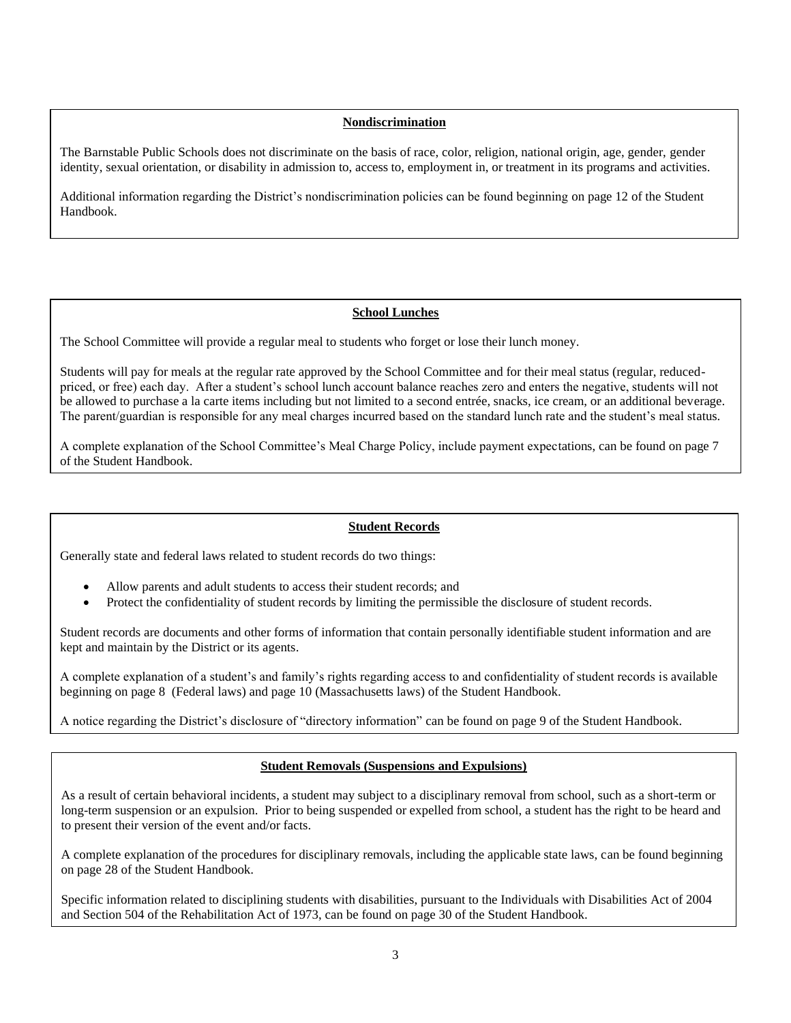#### **Nondiscrimination**

The Barnstable Public Schools does not discriminate on the basis of race, color, religion, national origin, age, gender, gender identity, sexual orientation, or disability in admission to, access to, employment in, or treatment in its programs and activities.

Additional information regarding the District's nondiscrimination policies can be found beginning on page 12 of the Student Handbook.

### **School Lunches**

The School Committee will provide a regular meal to students who forget or lose their lunch money.

Students will pay for meals at the regular rate approved by the School Committee and for their meal status (regular, reducedpriced, or free) each day. After a student's school lunch account balance reaches zero and enters the negative, students will not be allowed to purchase a la carte items including but not limited to a second entrée, snacks, ice cream, or an additional beverage. The parent/guardian is responsible for any meal charges incurred based on the standard lunch rate and the student's meal status.

A complete explanation of the School Committee's Meal Charge Policy, include payment expectations, can be found on page 7 of the Student Handbook.

#### **Student Records**

Generally state and federal laws related to student records do two things:

- Allow parents and adult students to access their student records; and
- Protect the confidentiality of student records by limiting the permissible the disclosure of student records.

Student records are documents and other forms of information that contain personally identifiable student information and are kept and maintain by the District or its agents.

A complete explanation of a student's and family's rights regarding access to and confidentiality of student records is available beginning on page 8 (Federal laws) and page 10 (Massachusetts laws) of the Student Handbook.

A notice regarding the District's disclosure of "directory information" can be found on page 9 of the Student Handbook.

### **Student Removals (Suspensions and Expulsions)**

As a result of certain behavioral incidents, a student may subject to a disciplinary removal from school, such as a short-term or long-term suspension or an expulsion. Prior to being suspended or expelled from school, a student has the right to be heard and to present their version of the event and/or facts.

A complete explanation of the procedures for disciplinary removals, including the applicable state laws, can be found beginning on page 28 of the Student Handbook.

Specific information related to disciplining students with disabilities, pursuant to the Individuals with Disabilities Act of 2004 and Section 504 of the Rehabilitation Act of 1973, can be found on page 30 of the Student Handbook.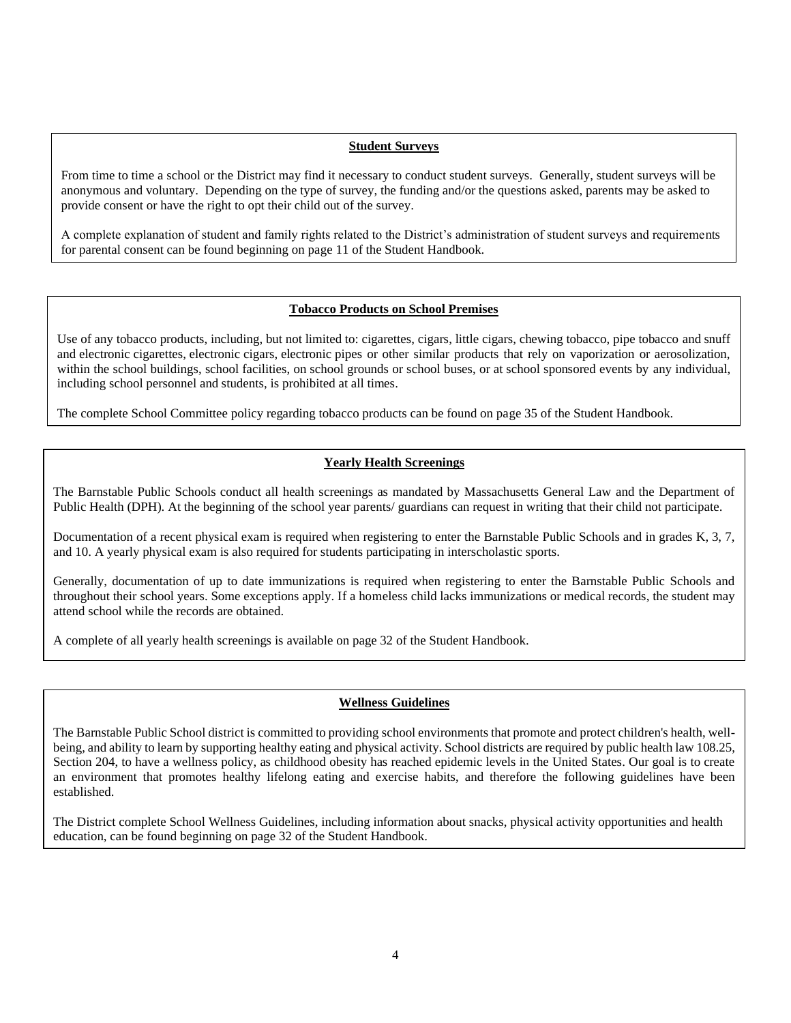### **Student Surveys**

From time to time a school or the District may find it necessary to conduct student surveys. Generally, student surveys will be anonymous and voluntary. Depending on the type of survey, the funding and/or the questions asked, parents may be asked to provide consent or have the right to opt their child out of the survey.

A complete explanation of student and family rights related to the District's administration of student surveys and requirements for parental consent can be found beginning on page 11 of the Student Handbook.

### **Tobacco Products on School Premises**

Use of any tobacco products, including, but not limited to: cigarettes, cigars, little cigars, chewing tobacco, pipe tobacco and snuff and electronic cigarettes, electronic cigars, electronic pipes or other similar products that rely on vaporization or aerosolization, within the school buildings, school facilities, on school grounds or school buses, or at school sponsored events by any individual, including school personnel and students, is prohibited at all times.

The complete School Committee policy regarding tobacco products can be found on page 35 of the Student Handbook.

### **Yearly Health Screenings**

The Barnstable Public Schools conduct all health screenings as mandated by Massachusetts General Law and the Department of Public Health (DPH). At the beginning of the school year parents/ guardians can request in writing that their child not participate.

Documentation of a recent physical exam is required when registering to enter the Barnstable Public Schools and in grades K, 3, 7, and 10. A yearly physical exam is also required for students participating in interscholastic sports.

Generally, documentation of up to date immunizations is required when registering to enter the Barnstable Public Schools and throughout their school years. Some exceptions apply. If a homeless child lacks immunizations or medical records, the student may attend school while the records are obtained.

A complete of all yearly health screenings is available on page 32 of the Student Handbook.

### **Wellness Guidelines**

The Barnstable Public School district is committed to providing school environments that promote and protect children's health, wellbeing, and ability to learn by supporting healthy eating and physical activity. School districts are required by public health law 108.25, Section 204, to have a wellness policy, as childhood obesity has reached epidemic levels in the United States. Our goal is to create an environment that promotes healthy lifelong eating and exercise habits, and therefore the following guidelines have been established.

The District complete School Wellness Guidelines, including information about snacks, physical activity opportunities and health education, can be found beginning on page 32 of the Student Handbook.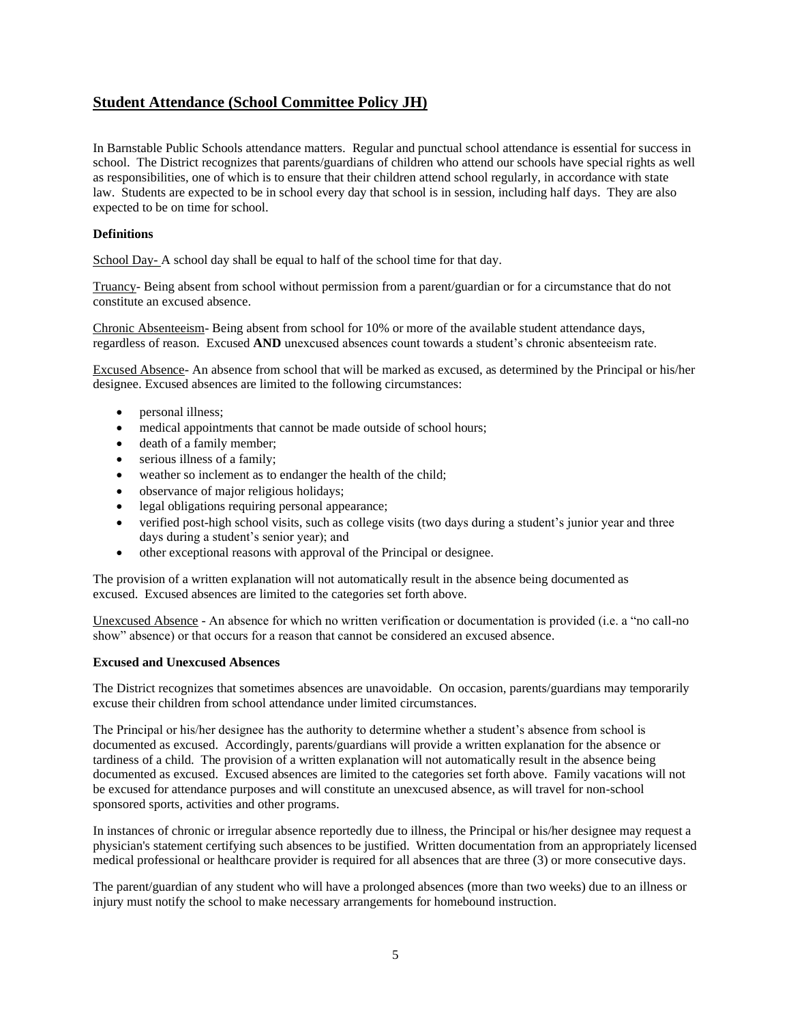# **Student Attendance (School Committee Policy JH)**

In Barnstable Public Schools attendance matters. Regular and punctual school attendance is essential for success in school. The District recognizes that parents/guardians of children who attend our schools have special rights as well as responsibilities, one of which is to ensure that their children attend school regularly, in accordance with state law. Students are expected to be in school every day that school is in session, including half days. They are also expected to be on time for school.

### **Definitions**

School Day- A school day shall be equal to half of the school time for that day.

Truancy- Being absent from school without permission from a parent/guardian or for a circumstance that do not constitute an excused absence.

Chronic Absenteeism- Being absent from school for 10% or more of the available student attendance days, regardless of reason. Excused **AND** unexcused absences count towards a student's chronic absenteeism rate.

Excused Absence- An absence from school that will be marked as excused, as determined by the Principal or his/her designee. Excused absences are limited to the following circumstances:

- personal illness;
- medical appointments that cannot be made outside of school hours;
- death of a family member;
- serious illness of a family;
- weather so inclement as to endanger the health of the child;
- observance of major religious holidays;
- legal obligations requiring personal appearance;
- verified post-high school visits, such as college visits (two days during a student's junior year and three days during a student's senior year); and
- other exceptional reasons with approval of the Principal or designee.

The provision of a written explanation will not automatically result in the absence being documented as excused. Excused absences are limited to the categories set forth above.

Unexcused Absence - An absence for which no written verification or documentation is provided (i.e. a "no call-no show" absence) or that occurs for a reason that cannot be considered an excused absence.

#### **Excused and Unexcused Absences**

The District recognizes that sometimes absences are unavoidable. On occasion, parents/guardians may temporarily excuse their children from school attendance under limited circumstances.

The Principal or his/her designee has the authority to determine whether a student's absence from school is documented as excused. Accordingly, parents/guardians will provide a written explanation for the absence or tardiness of a child. The provision of a written explanation will not automatically result in the absence being documented as excused. Excused absences are limited to the categories set forth above. Family vacations will not be excused for attendance purposes and will constitute an unexcused absence, as will travel for non-school sponsored sports, activities and other programs.

In instances of chronic or irregular absence reportedly due to illness, the Principal or his/her designee may request a physician's statement certifying such absences to be justified. Written documentation from an appropriately licensed medical professional or healthcare provider is required for all absences that are three (3) or more consecutive days.

The parent/guardian of any student who will have a prolonged absences (more than two weeks) due to an illness or injury must notify the school to make necessary arrangements for homebound instruction.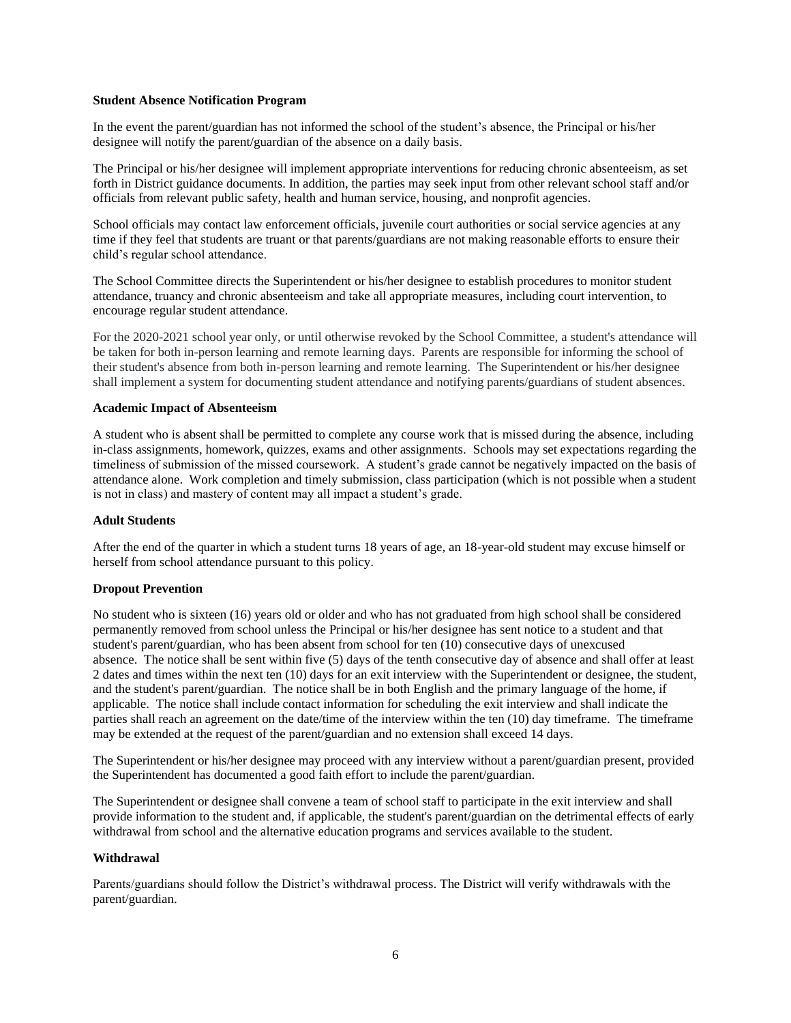### **Student Absence Notification Program**

In the event the parent/guardian has not informed the school of the student's absence, the Principal or his/her designee will notify the parent/guardian of the absence on a daily basis.

The Principal or his/her designee will implement appropriate interventions for reducing chronic absenteeism, as set forth in District guidance documents. In addition, the parties may seek input from other relevant school staff and/or officials from relevant public safety, health and human service, housing, and nonprofit agencies.

School officials may contact law enforcement officials, juvenile court authorities or social service agencies at any time if they feel that students are truant or that parents/guardians are not making reasonable efforts to ensure their child's regular school attendance.

The School Committee directs the Superintendent or his/her designee to establish procedures to monitor student attendance, truancy and chronic absenteeism and take all appropriate measures, including court intervention, to encourage regular student attendance.

For the 2020-2021 school year only, or until otherwise revoked by the School Committee, a student's attendance will be taken for both in-person learning and remote learning days. Parents are responsible for informing the school of their student's absence from both in-person learning and remote learning. The Superintendent or his/her designee shall implement a system for documenting student attendance and notifying parents/guardians of student absences.

#### **Academic Impact of Absenteeism**

A student who is absent shall be permitted to complete any course work that is missed during the absence, including in-class assignments, homework, quizzes, exams and other assignments. Schools may set expectations regarding the timeliness of submission of the missed coursework. A student's grade cannot be negatively impacted on the basis of attendance alone. Work completion and timely submission, class participation (which is not possible when a student is not in class) and mastery of content may all impact a student's grade.

#### **Adult Students**

After the end of the quarter in which a student turns 18 years of age, an 18-year-old student may excuse himself or herself from school attendance pursuant to this policy.

#### **Dropout Prevention**

No student who is sixteen (16) years old or older and who has not graduated from high school shall be considered permanently removed from school unless the Principal or his/her designee has sent notice to a student and that student's parent/guardian, who has been absent from school for ten (10) consecutive days of unexcused absence. The notice shall be sent within five (5) days of the tenth consecutive day of absence and shall offer at least 2 dates and times within the next ten (10) days for an exit interview with the Superintendent or designee, the student, and the student's parent/guardian. The notice shall be in both English and the primary language of the home, if applicable. The notice shall include contact information for scheduling the exit interview and shall indicate the parties shall reach an agreement on the date/time of the interview within the ten (10) day timeframe. The timeframe may be extended at the request of the parent/guardian and no extension shall exceed 14 days.

The Superintendent or his/her designee may proceed with any interview without a parent/guardian present, provided the Superintendent has documented a good faith effort to include the parent/guardian.

The Superintendent or designee shall convene a team of school staff to participate in the exit interview and shall provide information to the student and, if applicable, the student's parent/guardian on the detrimental effects of early withdrawal from school and the alternative education programs and services available to the student.

#### **Withdrawal**

Parents/guardians should follow the District's withdrawal process. The District will verify withdrawals with the parent/guardian.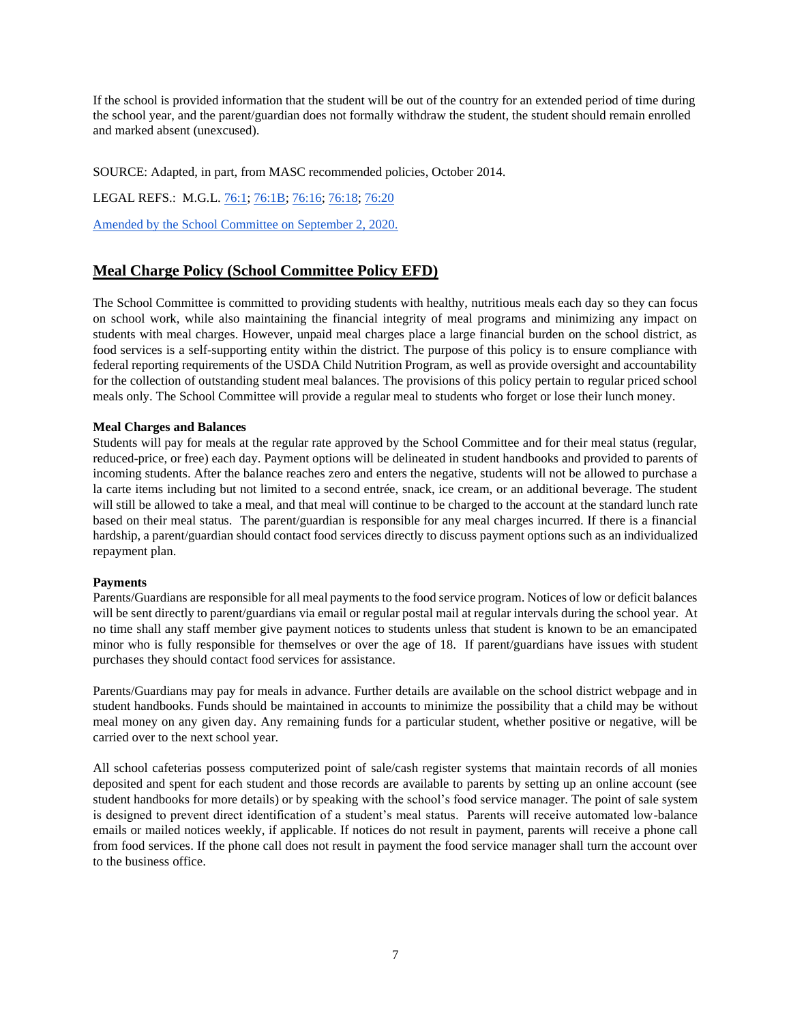If the school is provided information that the student will be out of the country for an extended period of time during the school year, and the parent/guardian does not formally withdraw the student, the student should remain enrolled and marked absent (unexcused).

SOURCE: Adapted, in part, from MASC recommended policies, October 2014.

LEGAL REFS.: M.G.L[. 76:1;](http://www.malegislature.gov/Laws/GeneralLaws/PartI/TitleXII/Chapter76/section1) [76:1B;](http://www.malegislature.gov/Laws/GeneralLaws/PartI/TitleXII/Chapter76/section1b) [76:16;](http://www.malegislature.gov/Laws/GeneralLaws/PartI/TitleXII/Chapter76/section16) [76:18;](http://www.malegislature.gov/Laws/GeneralLaws/PartI/TitleXII/Chapter76/section18) [76:20](http://www.malegislature.gov/Laws/GeneralLaws/PartI/TitleXII/Chapter76/section20)

Amended by the School Committee on September 2, 2020.

# **Meal Charge Policy (School Committee Policy EFD)**

The School Committee is committed to providing students with healthy, nutritious meals each day so they can focus on school work, while also maintaining the financial integrity of meal programs and minimizing any impact on students with meal charges. However, unpaid meal charges place a large financial burden on the school district, as food services is a self-supporting entity within the district. The purpose of this policy is to ensure compliance with federal reporting requirements of the USDA Child Nutrition Program, as well as provide oversight and accountability for the collection of outstanding student meal balances. The provisions of this policy pertain to regular priced school meals only. The School Committee will provide a regular meal to students who forget or lose their lunch money.

### **Meal Charges and Balances**

Students will pay for meals at the regular rate approved by the School Committee and for their meal status (regular, reduced-price, or free) each day. Payment options will be delineated in student handbooks and provided to parents of incoming students. After the balance reaches zero and enters the negative, students will not be allowed to purchase a la carte items including but not limited to a second entrée, snack, ice cream, or an additional beverage. The student will still be allowed to take a meal, and that meal will continue to be charged to the account at the standard lunch rate based on their meal status. The parent/guardian is responsible for any meal charges incurred. If there is a financial hardship, a parent/guardian should contact food services directly to discuss payment options such as an individualized repayment plan.

### **Payments**

Parents/Guardians are responsible for all meal payments to the food service program. Notices of low or deficit balances will be sent directly to parent/guardians via email or regular postal mail at regular intervals during the school year. At no time shall any staff member give payment notices to students unless that student is known to be an emancipated minor who is fully responsible for themselves or over the age of 18. If parent/guardians have issues with student purchases they should contact food services for assistance.

Parents/Guardians may pay for meals in advance. Further details are available on the school district webpage and in student handbooks. Funds should be maintained in accounts to minimize the possibility that a child may be without meal money on any given day. Any remaining funds for a particular student, whether positive or negative, will be carried over to the next school year.

All school cafeterias possess computerized point of sale/cash register systems that maintain records of all monies deposited and spent for each student and those records are available to parents by setting up an online account (see student handbooks for more details) or by speaking with the school's food service manager. The point of sale system is designed to prevent direct identification of a student's meal status. Parents will receive automated low-balance emails or mailed notices weekly, if applicable. If notices do not result in payment, parents will receive a phone call from food services. If the phone call does not result in payment the food service manager shall turn the account over to the business office.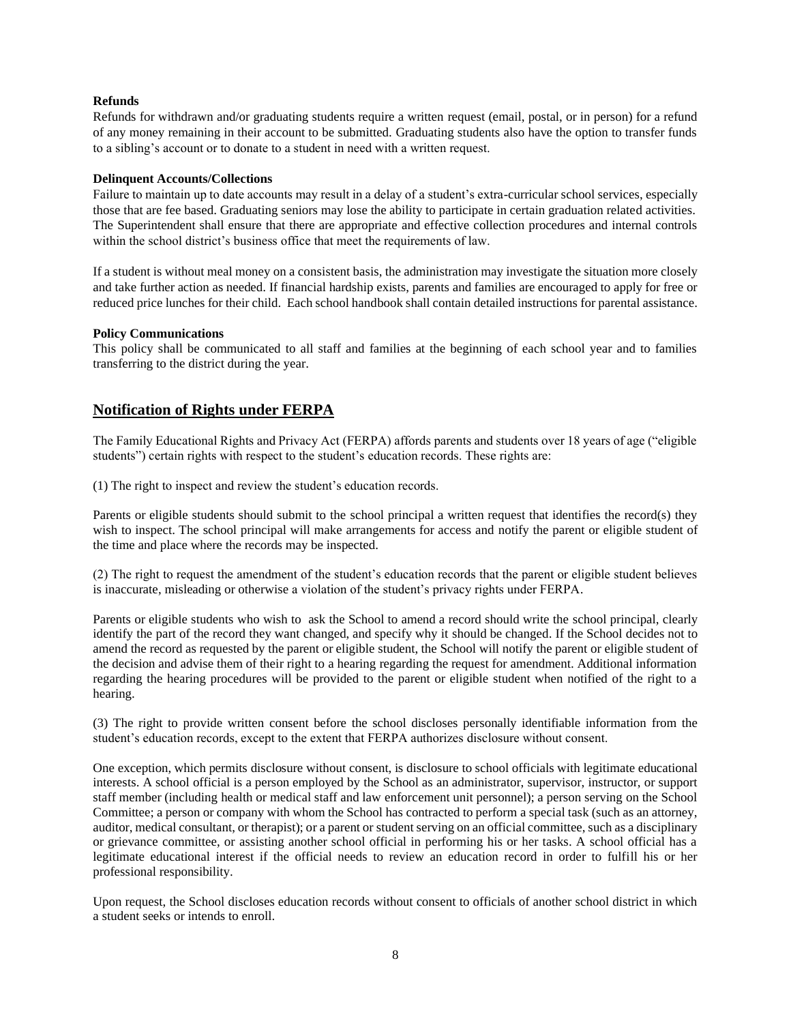#### **Refunds**

Refunds for withdrawn and/or graduating students require a written request (email, postal, or in person) for a refund of any money remaining in their account to be submitted. Graduating students also have the option to transfer funds to a sibling's account or to donate to a student in need with a written request.

### **Delinquent Accounts/Collections**

Failure to maintain up to date accounts may result in a delay of a student's extra-curricular school services, especially those that are fee based. Graduating seniors may lose the ability to participate in certain graduation related activities. The Superintendent shall ensure that there are appropriate and effective collection procedures and internal controls within the school district's business office that meet the requirements of law.

If a student is without meal money on a consistent basis, the administration may investigate the situation more closely and take further action as needed. If financial hardship exists, parents and families are encouraged to apply for free or reduced price lunches for their child. Each school handbook shall contain detailed instructions for parental assistance.

#### **Policy Communications**

This policy shall be communicated to all staff and families at the beginning of each school year and to families transferring to the district during the year.

# **Notification of Rights under FERPA**

The Family Educational Rights and Privacy Act (FERPA) affords parents and students over 18 years of age ("eligible students") certain rights with respect to the student's education records. These rights are:

(1) The right to inspect and review the student's education records.

Parents or eligible students should submit to the school principal a written request that identifies the record(s) they wish to inspect. The school principal will make arrangements for access and notify the parent or eligible student of the time and place where the records may be inspected.

(2) The right to request the amendment of the student's education records that the parent or eligible student believes is inaccurate, misleading or otherwise a violation of the student's privacy rights under FERPA.

Parents or eligible students who wish to ask the School to amend a record should write the school principal, clearly identify the part of the record they want changed, and specify why it should be changed. If the School decides not to amend the record as requested by the parent or eligible student, the School will notify the parent or eligible student of the decision and advise them of their right to a hearing regarding the request for amendment. Additional information regarding the hearing procedures will be provided to the parent or eligible student when notified of the right to a hearing.

(3) The right to provide written consent before the school discloses personally identifiable information from the student's education records, except to the extent that FERPA authorizes disclosure without consent.

One exception, which permits disclosure without consent, is disclosure to school officials with legitimate educational interests. A school official is a person employed by the School as an administrator, supervisor, instructor, or support staff member (including health or medical staff and law enforcement unit personnel); a person serving on the School Committee; a person or company with whom the School has contracted to perform a special task (such as an attorney, auditor, medical consultant, or therapist); or a parent or student serving on an official committee, such as a disciplinary or grievance committee, or assisting another school official in performing his or her tasks. A school official has a legitimate educational interest if the official needs to review an education record in order to fulfill his or her professional responsibility.

Upon request, the School discloses education records without consent to officials of another school district in which a student seeks or intends to enroll.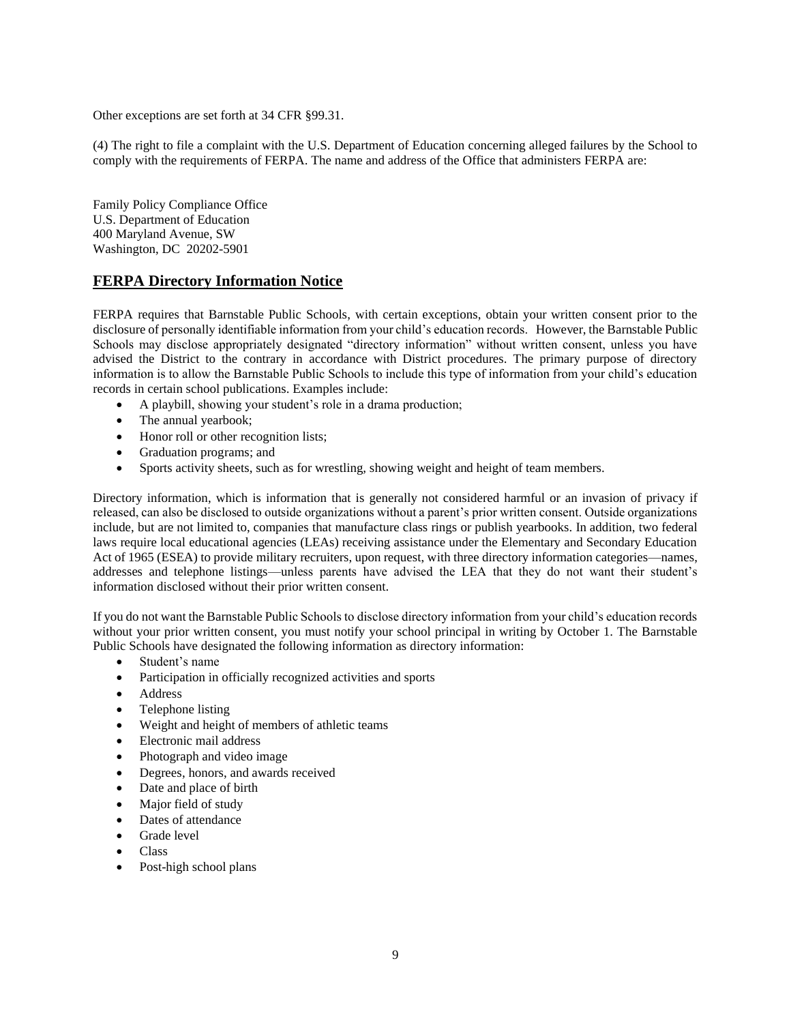Other exceptions are set forth at 34 CFR §99.31.

(4) The right to file a complaint with the U.S. Department of Education concerning alleged failures by the School to comply with the requirements of FERPA. The name and address of the Office that administers FERPA are:

Family Policy Compliance Office U.S. Department of Education 400 Maryland Avenue, SW Washington, DC 20202-5901

# **FERPA Directory Information Notice**

FERPA requires that Barnstable Public Schools, with certain exceptions, obtain your written consent prior to the disclosure of personally identifiable information from your child's education records. However, the Barnstable Public Schools may disclose appropriately designated "directory information" without written consent, unless you have advised the District to the contrary in accordance with District procedures. The primary purpose of directory information is to allow the Barnstable Public Schools to include this type of information from your child's education records in certain school publications. Examples include:

- A playbill, showing your student's role in a drama production;
- The annual yearbook;
- Honor roll or other recognition lists;
- Graduation programs; and
- Sports activity sheets, such as for wrestling, showing weight and height of team members.

Directory information, which is information that is generally not considered harmful or an invasion of privacy if released, can also be disclosed to outside organizations without a parent's prior written consent. Outside organizations include, but are not limited to, companies that manufacture class rings or publish yearbooks. In addition, two federal laws require local educational agencies (LEAs) receiving assistance under the Elementary and Secondary Education Act of 1965 (ESEA) to provide military recruiters, upon request, with three directory information categories—names, addresses and telephone listings—unless parents have advised the LEA that they do not want their student's information disclosed without their prior written consent.

If you do not want the Barnstable Public Schools to disclose directory information from your child's education records without your prior written consent, you must notify your school principal in writing by October 1. The Barnstable Public Schools have designated the following information as directory information:

- Student's name
- Participation in officially recognized activities and sports
- Address
- Telephone listing
- Weight and height of members of athletic teams
- Electronic mail address
- Photograph and video image
- Degrees, honors, and awards received
- Date and place of birth
- Major field of study
- Dates of attendance
- Grade level
- Class
- Post-high school plans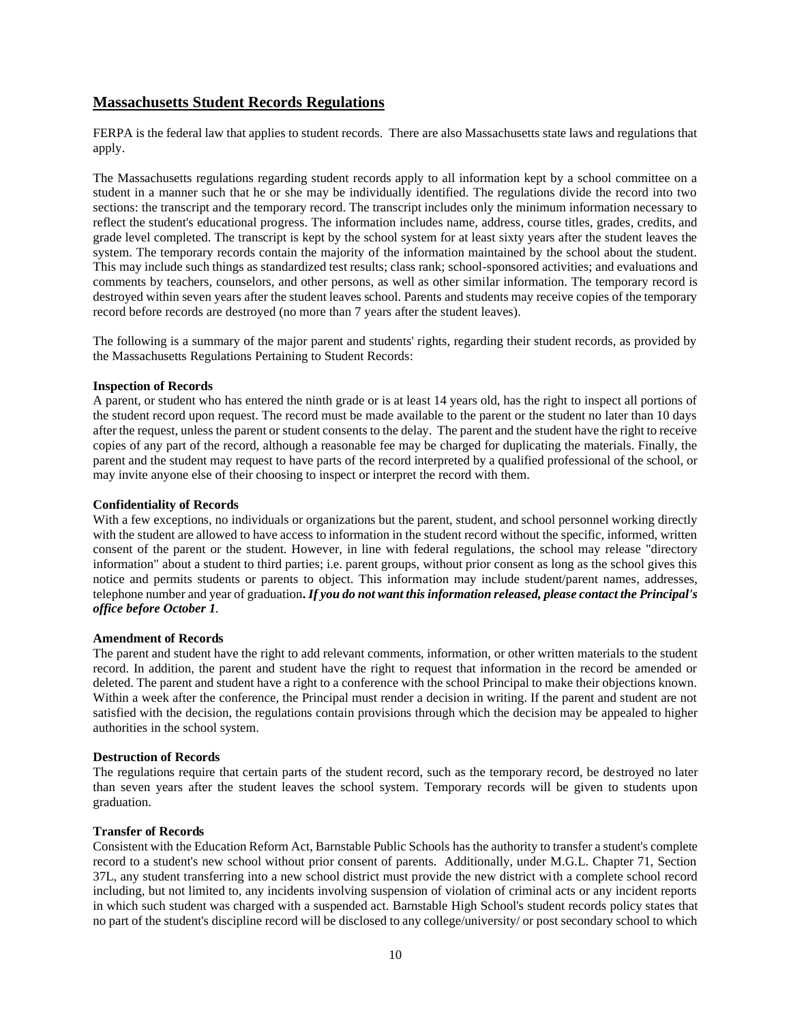# **Massachusetts Student Records Regulations**

FERPA is the federal law that applies to student records. There are also Massachusetts state laws and regulations that apply.

The Massachusetts regulations regarding student records apply to all information kept by a school committee on a student in a manner such that he or she may be individually identified. The regulations divide the record into two sections: the transcript and the temporary record. The transcript includes only the minimum information necessary to reflect the student's educational progress. The information includes name, address, course titles, grades, credits, and grade level completed. The transcript is kept by the school system for at least sixty years after the student leaves the system. The temporary records contain the majority of the information maintained by the school about the student. This may include such things as standardized test results; class rank; school-sponsored activities; and evaluations and comments by teachers, counselors, and other persons, as well as other similar information. The temporary record is destroyed within seven years after the student leaves school. Parents and students may receive copies of the temporary record before records are destroyed (no more than 7 years after the student leaves).

The following is a summary of the major parent and students' rights, regarding their student records, as provided by the Massachusetts Regulations Pertaining to Student Records:

#### **Inspection of Records**

A parent, or student who has entered the ninth grade or is at least 14 years old, has the right to inspect all portions of the student record upon request. The record must be made available to the parent or the student no later than 10 days after the request, unless the parent or student consents to the delay. The parent and the student have the right to receive copies of any part of the record, although a reasonable fee may be charged for duplicating the materials. Finally, the parent and the student may request to have parts of the record interpreted by a qualified professional of the school, or may invite anyone else of their choosing to inspect or interpret the record with them.

#### **Confidentiality of Records**

With a few exceptions, no individuals or organizations but the parent, student, and school personnel working directly with the student are allowed to have access to information in the student record without the specific, informed, written consent of the parent or the student. However, in line with federal regulations, the school may release "directory information" about a student to third parties; i.e. parent groups, without prior consent as long as the school gives this notice and permits students or parents to object. This information may include student/parent names, addresses, telephone number and year of graduation**.** *If youdonot wantthis informationreleased, please contactthe Principal's office before October 1.*

#### **Amendment of Records**

The parent and student have the right to add relevant comments, information, or other written materials to the student record. In addition, the parent and student have the right to request that information in the record be amended or deleted. The parent and student have a right to a conference with the school Principal to make their objections known. Within a week after the conference, the Principal must render a decision in writing. If the parent and student are not satisfied with the decision, the regulations contain provisions through which the decision may be appealed to higher authorities in the school system.

#### **Destruction of Records**

The regulations require that certain parts of the student record, such as the temporary record, be destroyed no later than seven years after the student leaves the school system. Temporary records will be given to students upon graduation.

### **Transfer of Records**

Consistent with the Education Reform Act, Barnstable Public Schools has the authority to transfer a student's complete record to a student's new school without prior consent of parents. Additionally, under M.G.L. Chapter 71, Section 37L, any student transferring into a new school district must provide the new district with a complete school record including, but not limited to, any incidents involving suspension of violation of criminal acts or any incident reports in which such student was charged with a suspended act. Barnstable High School's student records policy states that no part of the student's discipline record will be disclosed to any college/university/ or post secondary school to which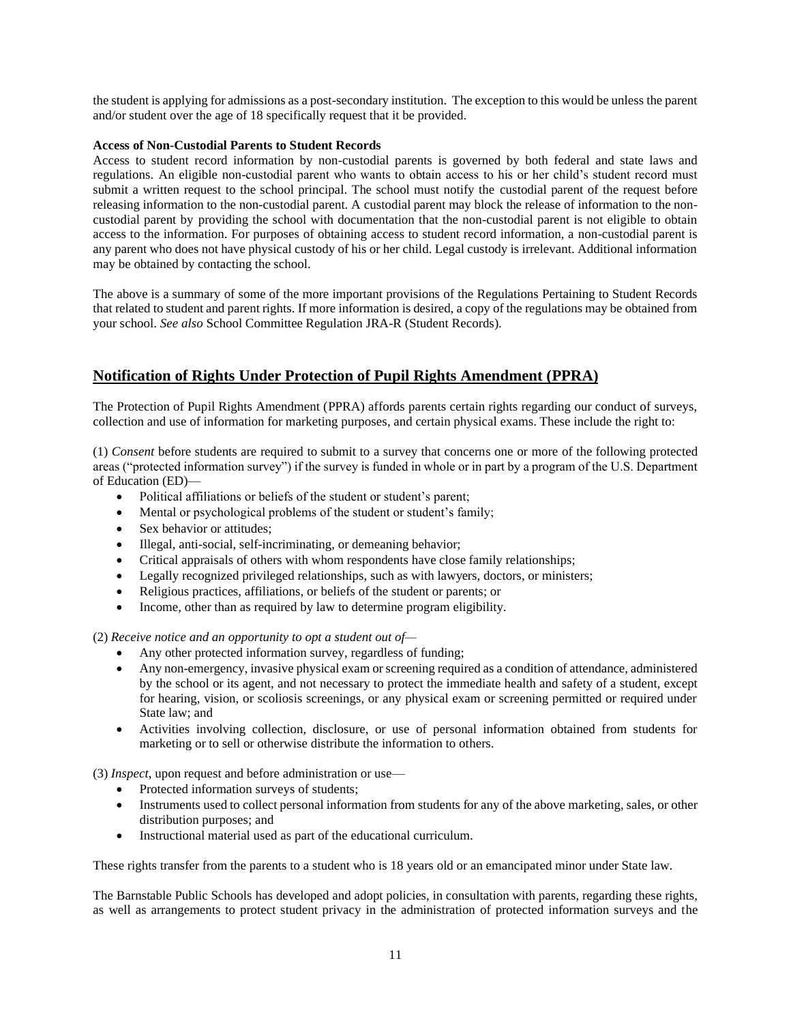the student is applying for admissions as a post-secondary institution. The exception to this would be unless the parent and/or student over the age of 18 specifically request that it be provided.

### **Access of Non-Custodial Parents to Student Records**

Access to student record information by non-custodial parents is governed by both federal and state laws and regulations. An eligible non-custodial parent who wants to obtain access to his or her child's student record must submit a written request to the school principal. The school must notify the custodial parent of the request before releasing information to the non-custodial parent. A custodial parent may block the release of information to the noncustodial parent by providing the school with documentation that the non-custodial parent is not eligible to obtain access to the information. For purposes of obtaining access to student record information, a non-custodial parent is any parent who does not have physical custody of his or her child. Legal custody is irrelevant. Additional information may be obtained by contacting the school.

The above is a summary of some of the more important provisions of the Regulations Pertaining to Student Records that related to student and parent rights. If more information is desired, a copy of the regulations may be obtained from your school. *See also* School Committee Regulation JRA-R (Student Records).

# **Notification of Rights Under Protection of Pupil Rights Amendment (PPRA)**

The Protection of Pupil Rights Amendment (PPRA) affords parents certain rights regarding our conduct of surveys, collection and use of information for marketing purposes, and certain physical exams. These include the right to:

(1) *Consent* before students are required to submit to a survey that concerns one or more of the following protected areas ("protected information survey") if the survey is funded in whole or in part by a program of the U.S. Department of Education (ED)—

- Political affiliations or beliefs of the student or student's parent;
- Mental or psychological problems of the student or student's family;
- Sex behavior or attitudes:
- Illegal, anti-social, self-incriminating, or demeaning behavior;
- Critical appraisals of others with whom respondents have close family relationships;
- Legally recognized privileged relationships, such as with lawyers, doctors, or ministers;
- Religious practices, affiliations, or beliefs of the student or parents; or
- Income, other than as required by law to determine program eligibility.

(2) *Receive notice and an opportunity to opt a student out of—*

- Any other protected information survey, regardless of funding;
- Any non-emergency, invasive physical exam or screening required as a condition of attendance, administered by the school or its agent, and not necessary to protect the immediate health and safety of a student, except for hearing, vision, or scoliosis screenings, or any physical exam or screening permitted or required under State law; and
- Activities involving collection, disclosure, or use of personal information obtained from students for marketing or to sell or otherwise distribute the information to others.

(3) *Inspect*, upon request and before administration or use—

- Protected information surveys of students;
- Instruments used to collect personal information from students for any of the above marketing, sales, or other distribution purposes; and
- Instructional material used as part of the educational curriculum.

These rights transfer from the parents to a student who is 18 years old or an emancipated minor under State law.

The Barnstable Public Schools has developed and adopt policies, in consultation with parents, regarding these rights, as well as arrangements to protect student privacy in the administration of protected information surveys and the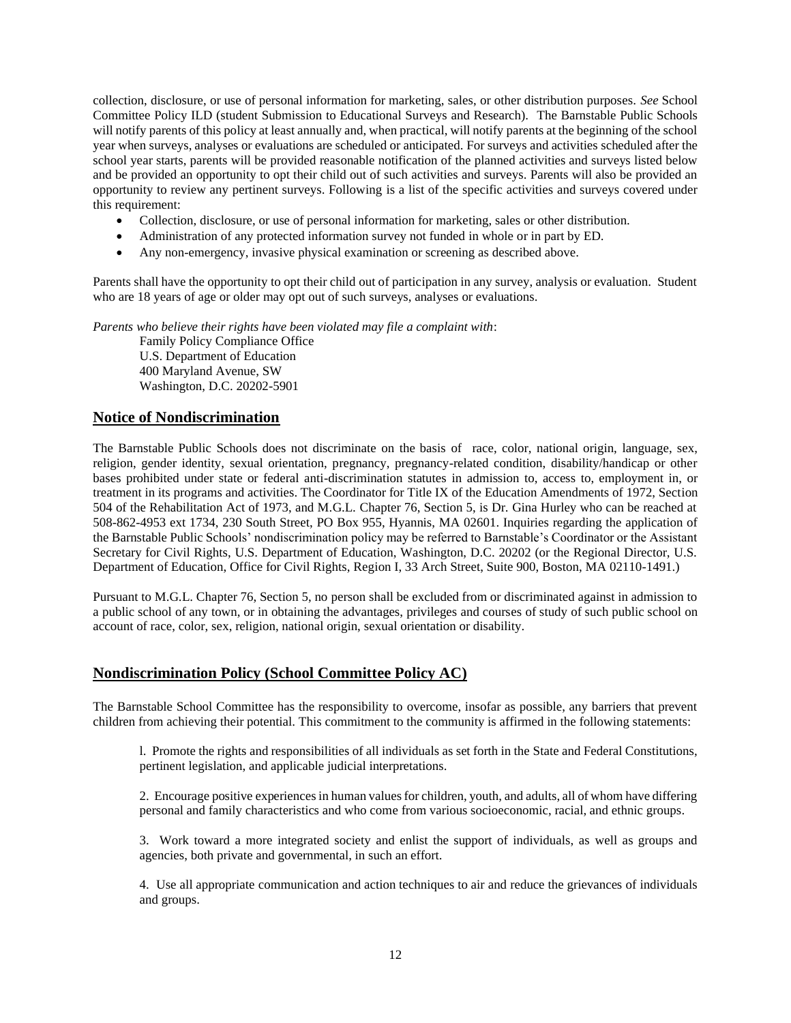collection, disclosure, or use of personal information for marketing, sales, or other distribution purposes. *See* School Committee Policy ILD (student Submission to Educational Surveys and Research). The Barnstable Public Schools will notify parents of this policy at least annually and, when practical, will notify parents at the beginning of the school year when surveys, analyses or evaluations are scheduled or anticipated. For surveys and activities scheduled after the school year starts, parents will be provided reasonable notification of the planned activities and surveys listed below and be provided an opportunity to opt their child out of such activities and surveys. Parents will also be provided an opportunity to review any pertinent surveys. Following is a list of the specific activities and surveys covered under this requirement:

- Collection, disclosure, or use of personal information for marketing, sales or other distribution.
- Administration of any protected information survey not funded in whole or in part by ED.
- Any non-emergency, invasive physical examination or screening as described above.

Parents shall have the opportunity to opt their child out of participation in any survey, analysis or evaluation. Student who are 18 years of age or older may opt out of such surveys, analyses or evaluations.

*Parents who believe their rights have been violated may file a complaint with*:

Family Policy Compliance Office U.S. Department of Education 400 Maryland Avenue, SW Washington, D.C. 20202-5901

### **Notice of Nondiscrimination**

The Barnstable Public Schools does not discriminate on the basis of race, color, national origin, language, sex, religion, gender identity, sexual orientation, pregnancy, pregnancy-related condition, disability/handicap or other bases prohibited under state or federal anti-discrimination statutes in admission to, access to, employment in, or treatment in its programs and activities. The Coordinator for Title IX of the Education Amendments of 1972, Section 504 of the Rehabilitation Act of 1973, and M.G.L. Chapter 76, Section 5, is Dr. Gina Hurley who can be reached at 508-862-4953 ext 1734, 230 South Street, PO Box 955, Hyannis, MA 02601. Inquiries regarding the application of the Barnstable Public Schools' nondiscrimination policy may be referred to Barnstable's Coordinator or the Assistant Secretary for Civil Rights, U.S. Department of Education, Washington, D.C. 20202 (or the Regional Director, U.S. Department of Education, Office for Civil Rights, Region I, 33 Arch Street, Suite 900, Boston, MA 02110-1491.)

Pursuant to M.G.L. Chapter 76, Section 5, no person shall be excluded from or discriminated against in admission to a public school of any town, or in obtaining the advantages, privileges and courses of study of such public school on account of race, color, sex, religion, national origin, sexual orientation or disability.

### **Nondiscrimination Policy (School Committee Policy AC)**

The Barnstable School Committee has the responsibility to overcome, insofar as possible, any barriers that prevent children from achieving their potential. This commitment to the community is affirmed in the following statements:

l. Promote the rights and responsibilities of all individuals as set forth in the State and Federal Constitutions, pertinent legislation, and applicable judicial interpretations.

2. Encourage positive experiences in human values for children, youth, and adults, all of whom have differing personal and family characteristics and who come from various socioeconomic, racial, and ethnic groups.

3. Work toward a more integrated society and enlist the support of individuals, as well as groups and agencies, both private and governmental, in such an effort.

4. Use all appropriate communication and action techniques to air and reduce the grievances of individuals and groups.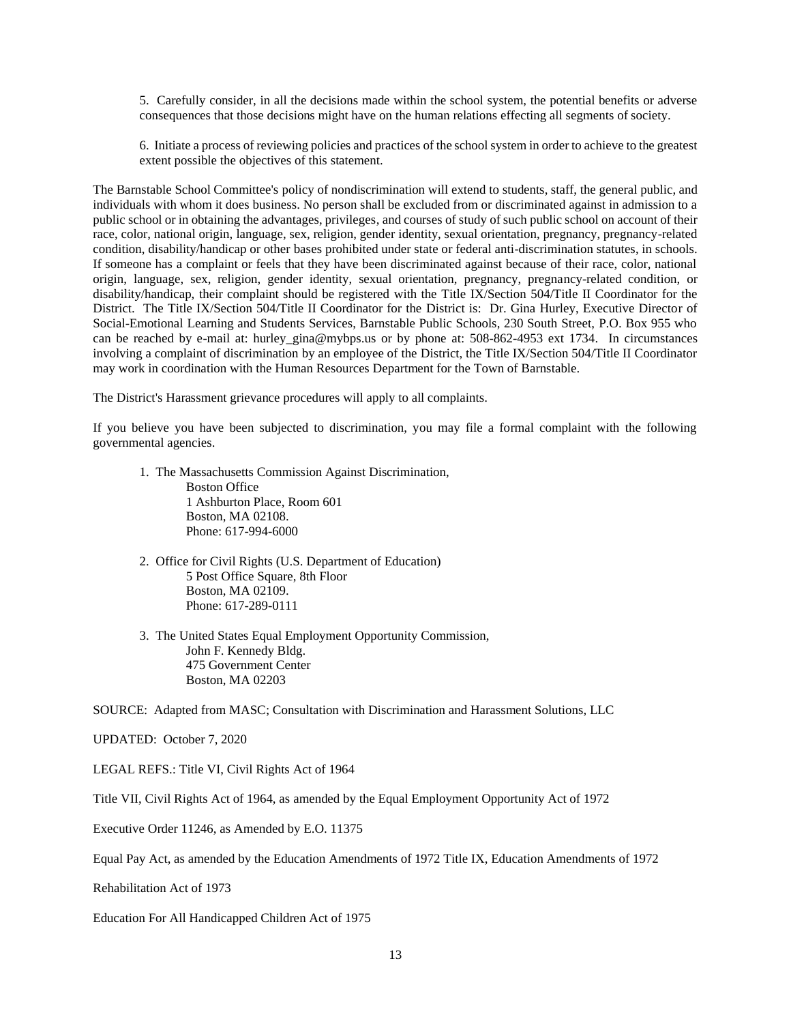5. Carefully consider, in all the decisions made within the school system, the potential benefits or adverse consequences that those decisions might have on the human relations effecting all segments of society.

6. Initiate a process of reviewing policies and practices of the school system in order to achieve to the greatest extent possible the objectives of this statement.

The Barnstable School Committee's policy of nondiscrimination will extend to students, staff, the general public, and individuals with whom it does business. No person shall be excluded from or discriminated against in admission to a public school or in obtaining the advantages, privileges, and courses of study of such public school on account of their race, color, national origin, language, sex, religion, gender identity, sexual orientation, pregnancy, pregnancy-related condition, disability/handicap or other bases prohibited under state or federal anti-discrimination statutes, in schools. If someone has a complaint or feels that they have been discriminated against because of their race, color, national origin, language, sex, religion, gender identity, sexual orientation, pregnancy, pregnancy-related condition, or disability/handicap, their complaint should be registered with the Title IX/Section 504/Title II Coordinator for the District. The Title IX/Section 504/Title II Coordinator for the District is: Dr. Gina Hurley, Executive Director of Social-Emotional Learning and Students Services, Barnstable Public Schools, 230 South Street, P.O. Box 955 who can be reached by e-mail at: hurley\_gina@mybps.us or by phone at: 508-862-4953 ext 1734. In circumstances involving a complaint of discrimination by an employee of the District, the Title IX/Section 504/Title II Coordinator may work in coordination with the Human Resources Department for the Town of Barnstable.

The District's Harassment grievance procedures will apply to all complaints.

If you believe you have been subjected to discrimination, you may file a formal complaint with the following governmental agencies.

- 1. The Massachusetts Commission Against Discrimination, Boston Office 1 Ashburton Place, Room 601 Boston, MA 02108. Phone: 617-994-6000
- 2. Office for Civil Rights (U.S. Department of Education) 5 Post Office Square, 8th Floor Boston, MA 02109. Phone: 617-289-0111
- 3. The United States Equal Employment Opportunity Commission, John F. Kennedy Bldg. 475 Government Center Boston, MA 02203

SOURCE: Adapted from MASC; Consultation with Discrimination and Harassment Solutions, LLC

UPDATED: October 7, 2020

LEGAL REFS.: Title VI, Civil Rights Act of 1964

Title VII, Civil Rights Act of 1964, as amended by the Equal Employment Opportunity Act of 1972

Executive Order 11246, as Amended by E.O. 11375

Equal Pay Act, as amended by the Education Amendments of 1972 Title IX, Education Amendments of 1972

Rehabilitation Act of 1973

Education For All Handicapped Children Act of 1975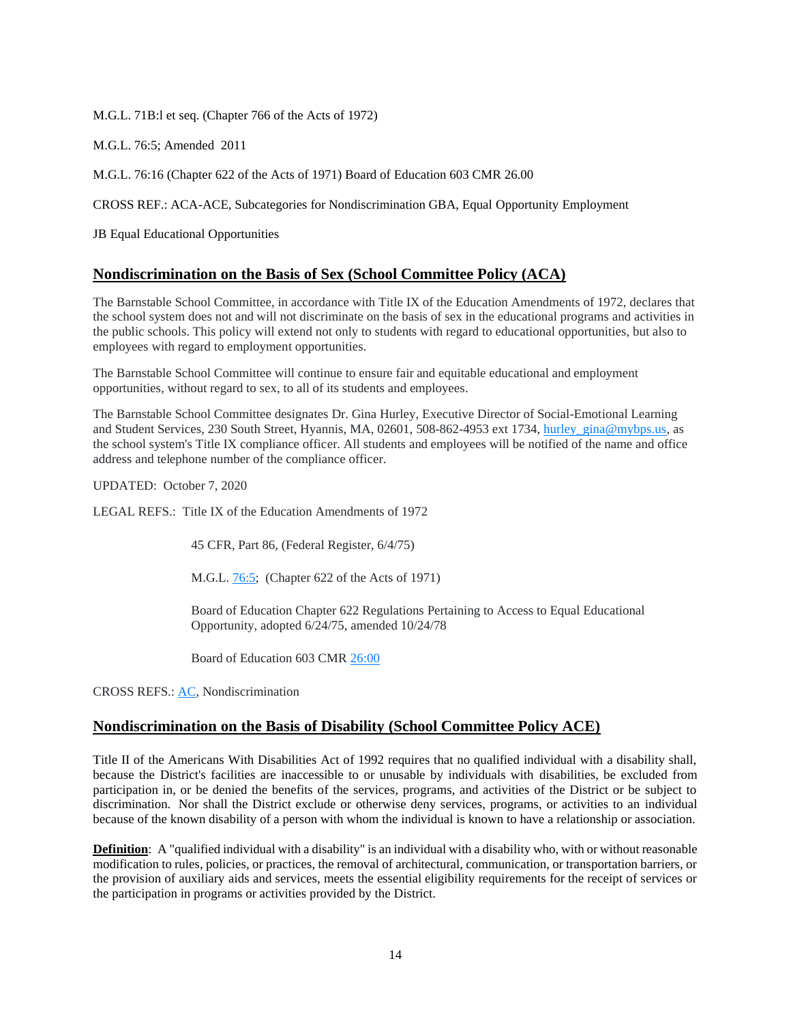M.G.L. 71B:l et seq. (Chapter 766 of the Acts of 1972)

M.G.L. 76:5; Amended 2011

M.G.L. 76:16 (Chapter 622 of the Acts of 1971) Board of Education 603 CMR 26.00

CROSS REF.: ACA-ACE, Subcategories for Nondiscrimination GBA, Equal Opportunity Employment

JB Equal Educational Opportunities

### **Nondiscrimination on the Basis of Sex (School Committee Policy (ACA)**

The Barnstable School Committee, in accordance with Title IX of the Education Amendments of 1972, declares that the school system does not and will not discriminate on the basis of sex in the educational programs and activities in the public schools. This policy will extend not only to students with regard to educational opportunities, but also to employees with regard to employment opportunities.

The Barnstable School Committee will continue to ensure fair and equitable educational and employment opportunities, without regard to sex, to all of its students and employees.

The Barnstable School Committee designates Dr. Gina Hurley, Executive Director of Social-Emotional Learning and Student Services, 230 South Street, Hyannis, MA, 02601, 508-862-4953 ext 1734, [hurley\\_gina@mybps.us,](mailto:hurley_gina@mybps.us) as the school system's Title IX compliance officer. All students and employees will be notified of the name and office address and telephone number of the compliance officer.

UPDATED: October 7, 2020

LEGAL REFS.: Title IX of the Education Amendments of 1972

45 CFR, Part 86, (Federal Register, 6/4/75)

M.G.L. [76:5;](https://malegislature.gov/Laws/GeneralLaws/PartI/TitleXII/Chapter76/section5) (Chapter 622 of the Acts of 1971)

Board of Education Chapter 622 Regulations Pertaining to Access to Equal Educational Opportunity, adopted 6/24/75, amended 10/24/78

Board of Education 603 CMR [26:00](http://www.doe.mass.edu/lawsregs/603cmr26.html)

CROSS REFS.: [AC,](https://z2policy.ctspublish.com/masc/) Nondiscrimination

### **Nondiscrimination on the Basis of Disability (School Committee Policy ACE)**

Title II of the Americans With Disabilities Act of 1992 requires that no qualified individual with a disability shall, because the District's facilities are inaccessible to or unusable by individuals with disabilities, be excluded from participation in, or be denied the benefits of the services, programs, and activities of the District or be subject to discrimination. Nor shall the District exclude or otherwise deny services, programs, or activities to an individual because of the known disability of a person with whom the individual is known to have a relationship or association.

**Definition**: A "qualified individual with a disability" is an individual with a disability who, with or without reasonable modification to rules, policies, or practices, the removal of architectural, communication, or transportation barriers, or the provision of auxiliary aids and services, meets the essential eligibility requirements for the receipt of services or the participation in programs or activities provided by the District.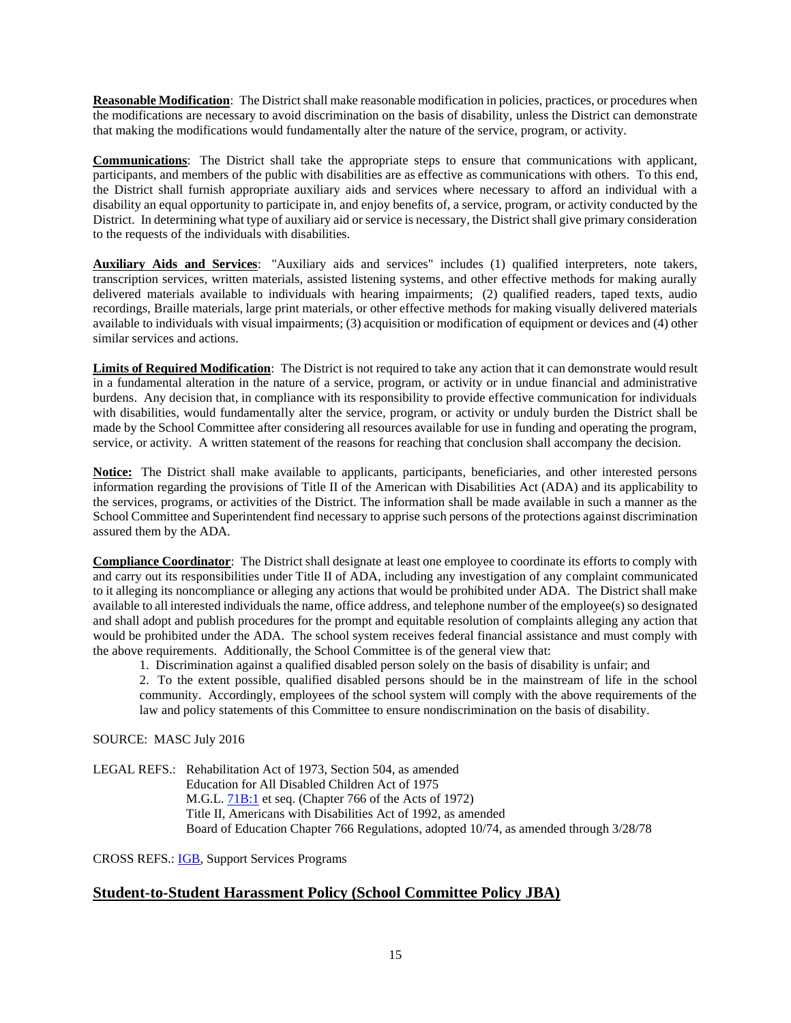**Reasonable Modification**: The District shall make reasonable modification in policies, practices, or procedures when the modifications are necessary to avoid discrimination on the basis of disability, unless the District can demonstrate that making the modifications would fundamentally alter the nature of the service, program, or activity.

**Communications**: The District shall take the appropriate steps to ensure that communications with applicant, participants, and members of the public with disabilities are as effective as communications with others. To this end, the District shall furnish appropriate auxiliary aids and services where necessary to afford an individual with a disability an equal opportunity to participate in, and enjoy benefits of, a service, program, or activity conducted by the District. In determining what type of auxiliary aid or service is necessary, the District shall give primary consideration to the requests of the individuals with disabilities.

**Auxiliary Aids and Services**: "Auxiliary aids and services" includes (1) qualified interpreters, note takers, transcription services, written materials, assisted listening systems, and other effective methods for making aurally delivered materials available to individuals with hearing impairments; (2) qualified readers, taped texts, audio recordings, Braille materials, large print materials, or other effective methods for making visually delivered materials available to individuals with visual impairments; (3) acquisition or modification of equipment or devices and (4) other similar services and actions.

**Limits of Required Modification**: The District is not required to take any action that it can demonstrate would result in a fundamental alteration in the nature of a service, program, or activity or in undue financial and administrative burdens. Any decision that, in compliance with its responsibility to provide effective communication for individuals with disabilities, would fundamentally alter the service, program, or activity or unduly burden the District shall be made by the School Committee after considering all resources available for use in funding and operating the program, service, or activity. A written statement of the reasons for reaching that conclusion shall accompany the decision.

**Notice:** The District shall make available to applicants, participants, beneficiaries, and other interested persons information regarding the provisions of Title II of the American with Disabilities Act (ADA) and its applicability to the services, programs, or activities of the District. The information shall be made available in such a manner as the School Committee and Superintendent find necessary to apprise such persons of the protections against discrimination assured them by the ADA.

**Compliance Coordinator**: The District shall designate at least one employee to coordinate its efforts to comply with and carry out its responsibilities under Title II of ADA, including any investigation of any complaint communicated to it alleging its noncompliance or alleging any actions that would be prohibited under ADA. The District shall make available to all interested individuals the name, office address, and telephone number of the employee(s) so designated and shall adopt and publish procedures for the prompt and equitable resolution of complaints alleging any action that would be prohibited under the ADA. The school system receives federal financial assistance and must comply with the above requirements. Additionally, the School Committee is of the general view that:

1. Discrimination against a qualified disabled person solely on the basis of disability is unfair; and

2. To the extent possible, qualified disabled persons should be in the mainstream of life in the school community. Accordingly, employees of the school system will comply with the above requirements of the law and policy statements of this Committee to ensure nondiscrimination on the basis of disability.

### SOURCE: MASC July 2016

LEGAL REFS.: Rehabilitation Act of 1973, Section 504, as amended Education for All Disabled Children Act of 1975 M.G.L. [71B:1](http://www.malegislature.gov/Laws/GeneralLaws/PartI/TitleXII/Chapter71b/section1) et seq. (Chapter 766 of the Acts of 1972) Title II, Americans with Disabilities Act of 1992, as amended Board of Education Chapter 766 Regulations, adopted 10/74, as amended through 3/28/78

CROSS REFS.: [IGB,](https://z2policy.ctspublish.com/masc/) Support Services Programs

# **Student-to-Student Harassment Policy (School Committee Policy JBA)**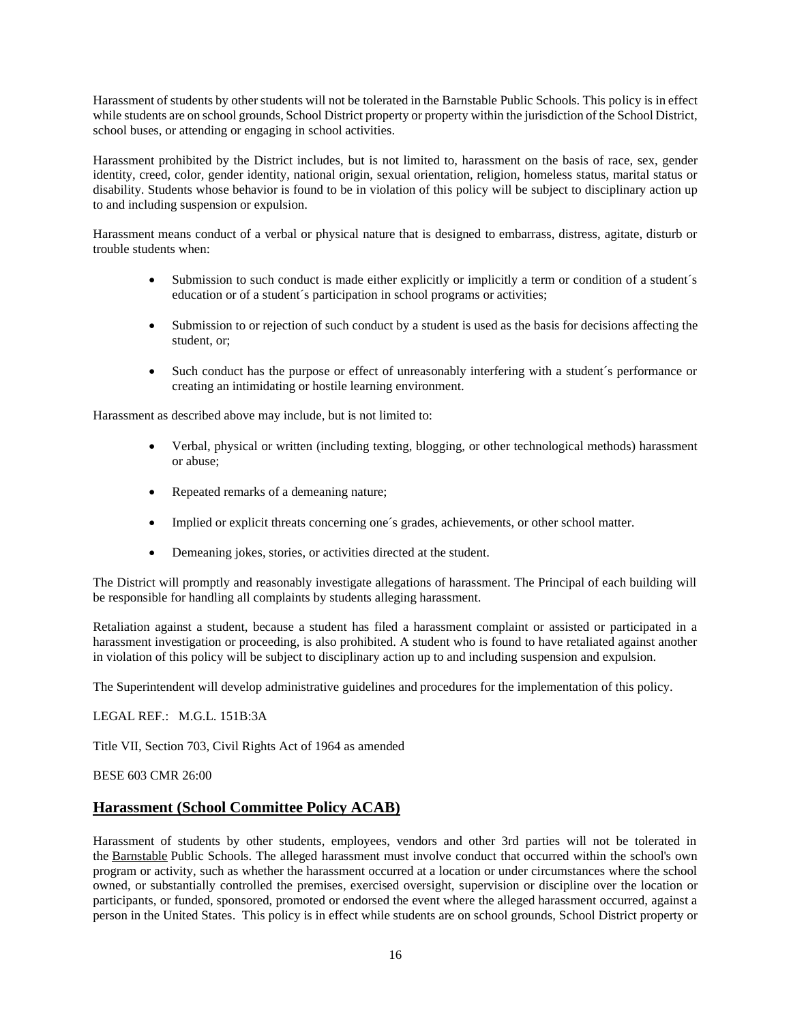Harassment of students by other students will not be tolerated in the Barnstable Public Schools. This policy is in effect while students are on school grounds, School District property or property within the jurisdiction of the School District, school buses, or attending or engaging in school activities.

Harassment prohibited by the District includes, but is not limited to, harassment on the basis of race, sex, gender identity, creed, color, gender identity, national origin, sexual orientation, religion, homeless status, marital status or disability. Students whose behavior is found to be in violation of this policy will be subject to disciplinary action up to and including suspension or expulsion.

Harassment means conduct of a verbal or physical nature that is designed to embarrass, distress, agitate, disturb or trouble students when:

- Submission to such conduct is made either explicitly or implicitly a term or condition of a student's education or of a student´s participation in school programs or activities;
- Submission to or rejection of such conduct by a student is used as the basis for decisions affecting the student, or;
- Such conduct has the purpose or effect of unreasonably interfering with a student's performance or creating an intimidating or hostile learning environment.

Harassment as described above may include, but is not limited to:

- Verbal, physical or written (including texting, blogging, or other technological methods) harassment or abuse;
- Repeated remarks of a demeaning nature;
- Implied or explicit threats concerning one's grades, achievements, or other school matter.
- Demeaning jokes, stories, or activities directed at the student.

The District will promptly and reasonably investigate allegations of harassment. The Principal of each building will be responsible for handling all complaints by students alleging harassment.

Retaliation against a student, because a student has filed a harassment complaint or assisted or participated in a harassment investigation or proceeding, is also prohibited. A student who is found to have retaliated against another in violation of this policy will be subject to disciplinary action up to and including suspension and expulsion.

The Superintendent will develop administrative guidelines and procedures for the implementation of this policy.

LEGAL REF.: M.G.L. 151B:3A

Title VII, Section 703, Civil Rights Act of 1964 as amended

BESE 603 CMR 26:00

# **Harassment (School Committee Policy ACAB)**

Harassment of students by other students, employees, vendors and other 3rd parties will not be tolerated in the Barnstable Public Schools. The alleged harassment must involve conduct that occurred within the school's own program or activity, such as whether the harassment occurred at a location or under circumstances where the school owned, or substantially controlled the premises, exercised oversight, supervision or discipline over the location or participants, or funded, sponsored, promoted or endorsed the event where the alleged harassment occurred, against a person in the United States. This policy is in effect while students are on school grounds, School District property or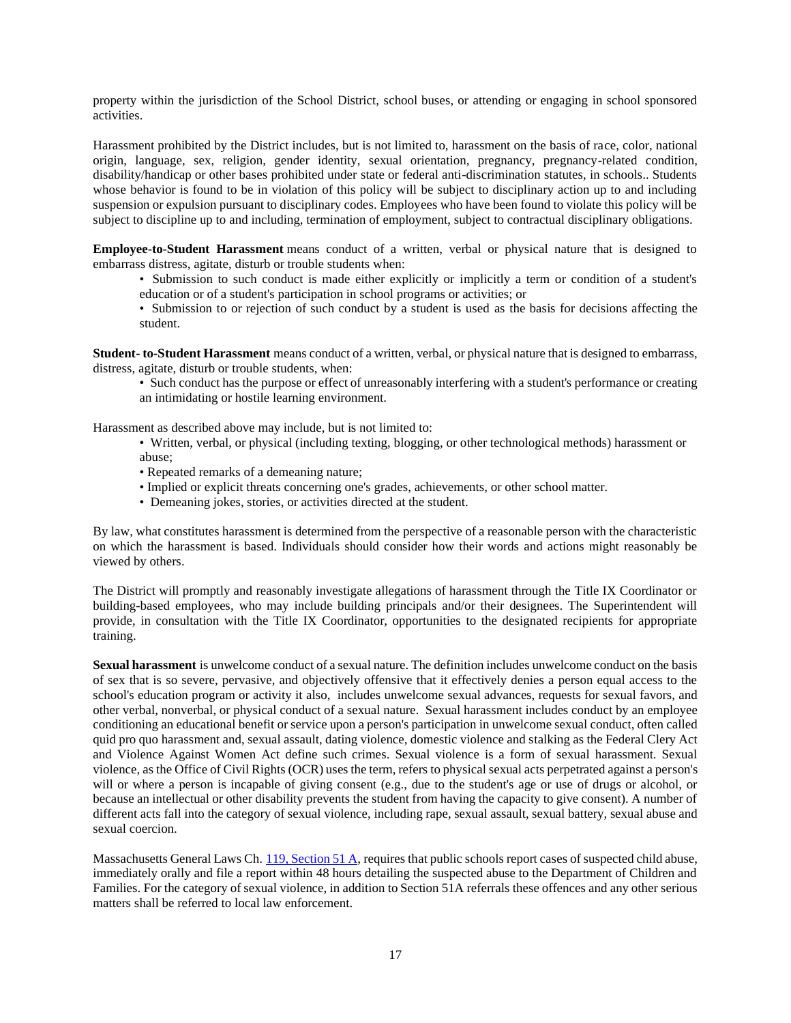property within the jurisdiction of the School District, school buses, or attending or engaging in school sponsored activities.

Harassment prohibited by the District includes, but is not limited to, harassment on the basis of race, color, national origin, language, sex, religion, gender identity, sexual orientation, pregnancy, pregnancy-related condition, disability/handicap or other bases prohibited under state or federal anti-discrimination statutes, in schools.. Students whose behavior is found to be in violation of this policy will be subject to disciplinary action up to and including suspension or expulsion pursuant to disciplinary codes. Employees who have been found to violate this policy will be subject to discipline up to and including, termination of employment, subject to contractual disciplinary obligations.

**Employee-to-Student Harassment** means conduct of a written, verbal or physical nature that is designed to embarrass distress, agitate, disturb or trouble students when:

- Submission to such conduct is made either explicitly or implicitly a term or condition of a student's education or of a student's participation in school programs or activities; or
- Submission to or rejection of such conduct by a student is used as the basis for decisions affecting the student.

**Student- to-Student Harassment** means conduct of a written, verbal, or physical nature that is designed to embarrass, distress, agitate, disturb or trouble students, when:

• Such conduct has the purpose or effect of unreasonably interfering with a student's performance or creating an intimidating or hostile learning environment.

Harassment as described above may include, but is not limited to:

- Written, verbal, or physical (including texting, blogging, or other technological methods) harassment or abuse;
- Repeated remarks of a demeaning nature;
- Implied or explicit threats concerning one's grades, achievements, or other school matter.
- Demeaning jokes, stories, or activities directed at the student.

By law, what constitutes harassment is determined from the perspective of a reasonable person with the characteristic on which the harassment is based. Individuals should consider how their words and actions might reasonably be viewed by others.

The District will promptly and reasonably investigate allegations of harassment through the Title IX Coordinator or building-based employees, who may include building principals and/or their designees. The Superintendent will provide, in consultation with the Title IX Coordinator, opportunities to the designated recipients for appropriate training.

**Sexual harassment** is unwelcome conduct of a sexual nature. The definition includes unwelcome conduct on the basis of sex that is so severe, pervasive, and objectively offensive that it effectively denies a person equal access to the school's education program or activity it also, includes unwelcome sexual advances, requests for sexual favors, and other verbal, nonverbal, or physical conduct of a sexual nature. Sexual harassment includes conduct by an employee conditioning an educational benefit or service upon a person's participation in unwelcome sexual conduct, often called quid pro quo harassment and, sexual assault, dating violence, domestic violence and stalking as the Federal Clery Act and Violence Against Women Act define such crimes. Sexual violence is a form of sexual harassment. Sexual violence, as the Office of Civil Rights (OCR) uses the term, refers to physical sexual acts perpetrated against a person's will or where a person is incapable of giving consent (e.g., due to the student's age or use of drugs or alcohol, or because an intellectual or other disability prevents the student from having the capacity to give consent). A number of different acts fall into the category of sexual violence, including rape, sexual assault, sexual battery, sexual abuse and sexual coercion.

Massachusetts General Laws Ch. [119, Section 51 A,](https://malegislature.gov/Laws/GeneralLaws/PartII/TitleII/Chapter119/section51a) requires that public schools report cases of suspected child abuse, immediately orally and file a report within 48 hours detailing the suspected abuse to the Department of Children and Families. For the category of sexual violence, in addition to Section 51A referrals these offences and any other serious matters shall be referred to local law enforcement.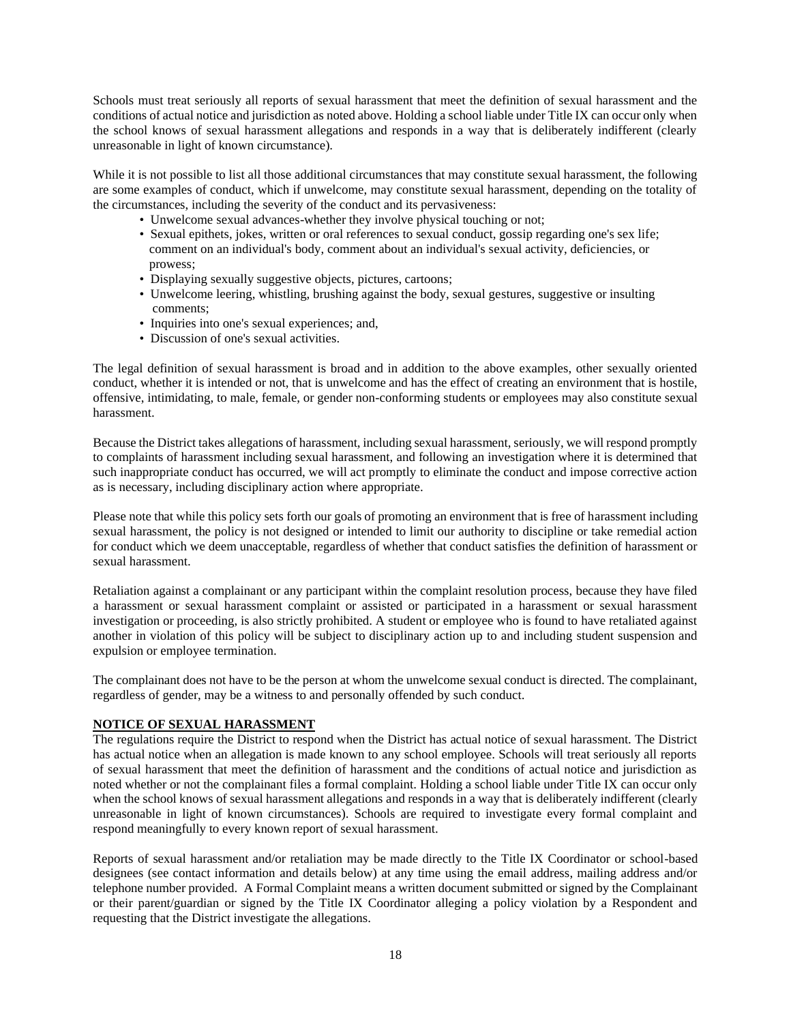Schools must treat seriously all reports of sexual harassment that meet the definition of sexual harassment and the conditions of actual notice and jurisdiction as noted above. Holding a school liable under Title IX can occur only when the school knows of sexual harassment allegations and responds in a way that is deliberately indifferent (clearly unreasonable in light of known circumstance).

While it is not possible to list all those additional circumstances that may constitute sexual harassment, the following are some examples of conduct, which if unwelcome, may constitute sexual harassment, depending on the totality of the circumstances, including the severity of the conduct and its pervasiveness:

- Unwelcome sexual advances-whether they involve physical touching or not;
- Sexual epithets, jokes, written or oral references to sexual conduct, gossip regarding one's sex life; comment on an individual's body, comment about an individual's sexual activity, deficiencies, or prowess;
- Displaying sexually suggestive objects, pictures, cartoons;
- Unwelcome leering, whistling, brushing against the body, sexual gestures, suggestive or insulting comments;
- Inquiries into one's sexual experiences; and,
- Discussion of one's sexual activities.

The legal definition of sexual harassment is broad and in addition to the above examples, other sexually oriented conduct, whether it is intended or not, that is unwelcome and has the effect of creating an environment that is hostile, offensive, intimidating, to male, female, or gender non-conforming students or employees may also constitute sexual harassment.

Because the District takes allegations of harassment, including sexual harassment, seriously, we will respond promptly to complaints of harassment including sexual harassment, and following an investigation where it is determined that such inappropriate conduct has occurred, we will act promptly to eliminate the conduct and impose corrective action as is necessary, including disciplinary action where appropriate.

Please note that while this policy sets forth our goals of promoting an environment that is free of harassment including sexual harassment, the policy is not designed or intended to limit our authority to discipline or take remedial action for conduct which we deem unacceptable, regardless of whether that conduct satisfies the definition of harassment or sexual harassment.

Retaliation against a complainant or any participant within the complaint resolution process, because they have filed a harassment or sexual harassment complaint or assisted or participated in a harassment or sexual harassment investigation or proceeding, is also strictly prohibited. A student or employee who is found to have retaliated against another in violation of this policy will be subject to disciplinary action up to and including student suspension and expulsion or employee termination.

The complainant does not have to be the person at whom the unwelcome sexual conduct is directed. The complainant, regardless of gender, may be a witness to and personally offended by such conduct.

### **NOTICE OF SEXUAL HARASSMENT**

The regulations require the District to respond when the District has actual notice of sexual harassment. The District has actual notice when an allegation is made known to any school employee. Schools will treat seriously all reports of sexual harassment that meet the definition of harassment and the conditions of actual notice and jurisdiction as noted whether or not the complainant files a formal complaint. Holding a school liable under Title IX can occur only when the school knows of sexual harassment allegations and responds in a way that is deliberately indifferent (clearly unreasonable in light of known circumstances). Schools are required to investigate every formal complaint and respond meaningfully to every known report of sexual harassment.

Reports of sexual harassment and/or retaliation may be made directly to the Title IX Coordinator or school-based designees (see contact information and details below) at any time using the email address, mailing address and/or telephone number provided. A Formal Complaint means a written document submitted or signed by the Complainant or their parent/guardian or signed by the Title IX Coordinator alleging a policy violation by a Respondent and requesting that the District investigate the allegations.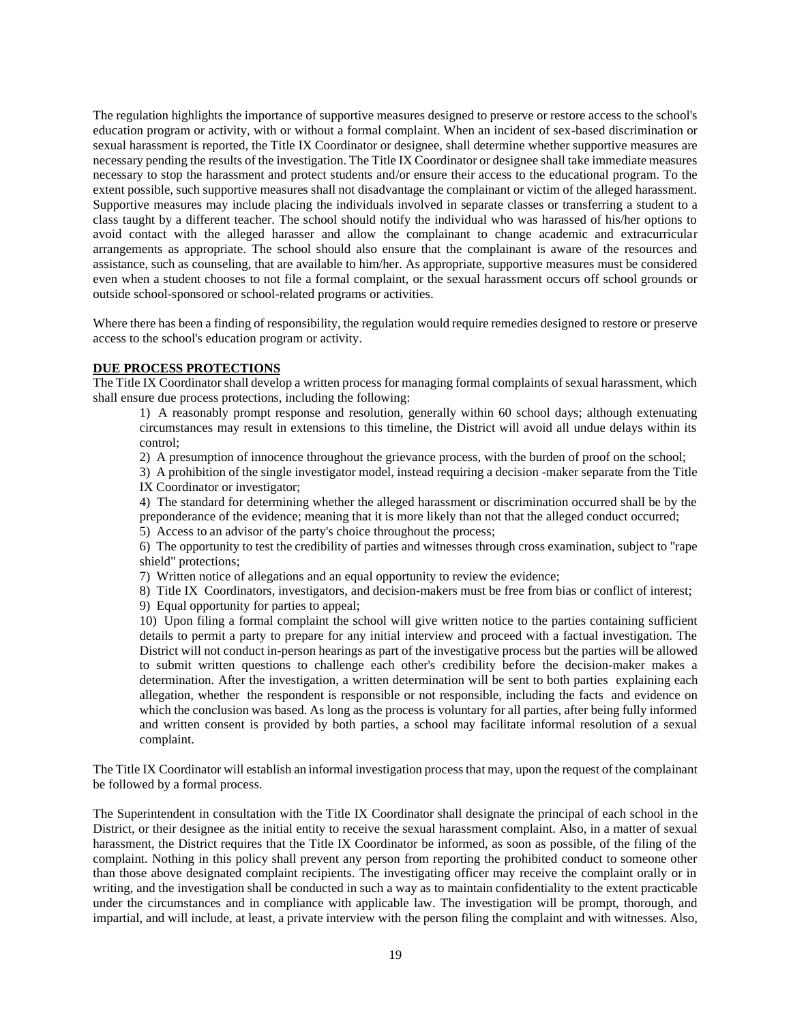The regulation highlights the importance of supportive measures designed to preserve or restore access to the school's education program or activity, with or without a formal complaint. When an incident of sex-based discrimination or sexual harassment is reported, the Title IX Coordinator or designee, shall determine whether supportive measures are necessary pending the results of the investigation. The Title IX Coordinator or designee shall take immediate measures necessary to stop the harassment and protect students and/or ensure their access to the educational program. To the extent possible, such supportive measures shall not disadvantage the complainant or victim of the alleged harassment. Supportive measures may include placing the individuals involved in separate classes or transferring a student to a class taught by a different teacher. The school should notify the individual who was harassed of his/her options to avoid contact with the alleged harasser and allow the complainant to change academic and extracurricular arrangements as appropriate. The school should also ensure that the complainant is aware of the resources and assistance, such as counseling, that are available to him/her. As appropriate, supportive measures must be considered even when a student chooses to not file a formal complaint, or the sexual harassment occurs off school grounds or outside school-sponsored or school-related programs or activities.

Where there has been a finding of responsibility, the regulation would require remedies designed to restore or preserve access to the school's education program or activity.

#### **DUE PROCESS PROTECTIONS**

The Title IX Coordinator shall develop a written process for managing formal complaints of sexual harassment, which shall ensure due process protections, including the following:

1) A reasonably prompt response and resolution, generally within 60 school days; although extenuating circumstances may result in extensions to this timeline, the District will avoid all undue delays within its control;

2) A presumption of innocence throughout the grievance process, with the burden of proof on the school;

3) A prohibition of the single investigator model, instead requiring a decision -maker separate from the Title IX Coordinator or investigator;

4) The standard for determining whether the alleged harassment or discrimination occurred shall be by the preponderance of the evidence; meaning that it is more likely than not that the alleged conduct occurred;

5) Access to an advisor of the party's choice throughout the process;

6) The opportunity to test the credibility of parties and witnesses through cross examination, subject to "rape shield" protections;

7) Written notice of allegations and an equal opportunity to review the evidence;

8) Title IX Coordinators, investigators, and decision-makers must be free from bias or conflict of interest;

9) Equal opportunity for parties to appeal;

10) Upon filing a formal complaint the school will give written notice to the parties containing sufficient details to permit a party to prepare for any initial interview and proceed with a factual investigation. The District will not conduct in-person hearings as part of the investigative process but the parties will be allowed to submit written questions to challenge each other's credibility before the decision-maker makes a determination. After the investigation, a written determination will be sent to both parties explaining each allegation, whether the respondent is responsible or not responsible, including the facts and evidence on which the conclusion was based. As long as the process is voluntary for all parties, after being fully informed and written consent is provided by both parties, a school may facilitate informal resolution of a sexual complaint.

The Title IX Coordinator will establish an informal investigation process that may, upon the request of the complainant be followed by a formal process.

The Superintendent in consultation with the Title IX Coordinator shall designate the principal of each school in the District, or their designee as the initial entity to receive the sexual harassment complaint. Also, in a matter of sexual harassment, the District requires that the Title IX Coordinator be informed, as soon as possible, of the filing of the complaint. Nothing in this policy shall prevent any person from reporting the prohibited conduct to someone other than those above designated complaint recipients. The investigating officer may receive the complaint orally or in writing, and the investigation shall be conducted in such a way as to maintain confidentiality to the extent practicable under the circumstances and in compliance with applicable law. The investigation will be prompt, thorough, and impartial, and will include, at least, a private interview with the person filing the complaint and with witnesses. Also,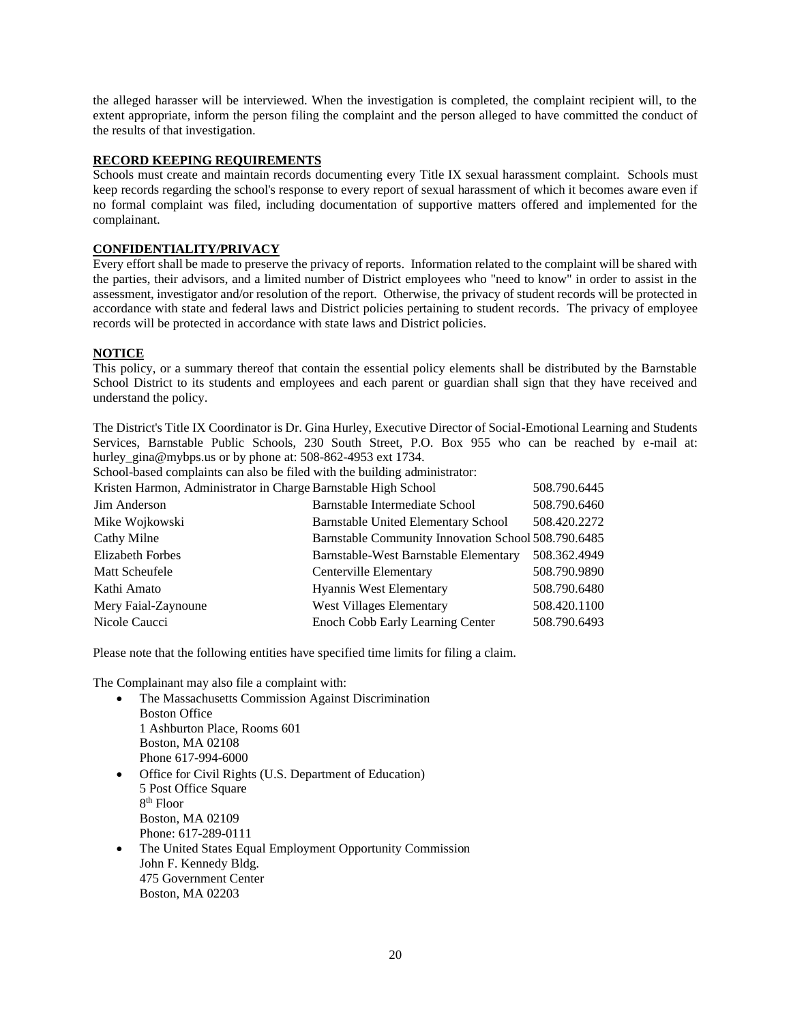the alleged harasser will be interviewed. When the investigation is completed, the complaint recipient will, to the extent appropriate, inform the person filing the complaint and the person alleged to have committed the conduct of the results of that investigation.

### **RECORD KEEPING REQUIREMENTS**

Schools must create and maintain records documenting every Title IX sexual harassment complaint. Schools must keep records regarding the school's response to every report of sexual harassment of which it becomes aware even if no formal complaint was filed, including documentation of supportive matters offered and implemented for the complainant.

### **CONFIDENTIALITY/PRIVACY**

Every effort shall be made to preserve the privacy of reports. Information related to the complaint will be shared with the parties, their advisors, and a limited number of District employees who "need to know" in order to assist in the assessment, investigator and/or resolution of the report. Otherwise, the privacy of student records will be protected in accordance with state and federal laws and District policies pertaining to student records. The privacy of employee records will be protected in accordance with state laws and District policies.

### **NOTICE**

This policy, or a summary thereof that contain the essential policy elements shall be distributed by the Barnstable School District to its students and employees and each parent or guardian shall sign that they have received and understand the policy.

The District's Title IX Coordinator is Dr. Gina Hurley, Executive Director of Social-Emotional Learning and Students Services, Barnstable Public Schools, 230 South Street, P.O. Box 955 who can be reached by e-mail at: hurley gina@mybps.us or by phone at: 508-862-4953 ext 1734.

School-based complaints can also be filed with the building administrator:

Kristen Harmon, Administrator in Charge Barnstable High School 508.790.6445

| Jim Anderson            | Barnstable Intermediate School                      | 508.790.6460 |
|-------------------------|-----------------------------------------------------|--------------|
| Mike Wojkowski          | <b>Barnstable United Elementary School</b>          | 508.420.2272 |
| Cathy Milne             | Barnstable Community Innovation School 508.790.6485 |              |
| <b>Elizabeth Forbes</b> | Barnstable-West Barnstable Elementary               | 508.362.4949 |
| Matt Scheufele          | Centerville Elementary                              | 508.790.9890 |
| Kathi Amato             | Hyannis West Elementary                             | 508.790.6480 |
| Mery Faial-Zaynoune     | <b>West Villages Elementary</b>                     | 508.420.1100 |
| Nicole Caucci           | Enoch Cobb Early Learning Center                    | 508.790.6493 |

Please note that the following entities have specified time limits for filing a claim.

The Complainant may also file a complaint with:

- The Massachusetts Commission Against Discrimination Boston Office 1 Ashburton Place, Rooms 601 Boston, MA 02108 Phone 617-994-6000 • Office for Civil Rights (U.S. Department of Education) 5 Post Office Square 8 th Floor Boston, MA 02109 Phone: 617-289-0111 • The United States Equal Employment Opportunity Commission
- John F. Kennedy Bldg. 475 Government Center Boston, MA 02203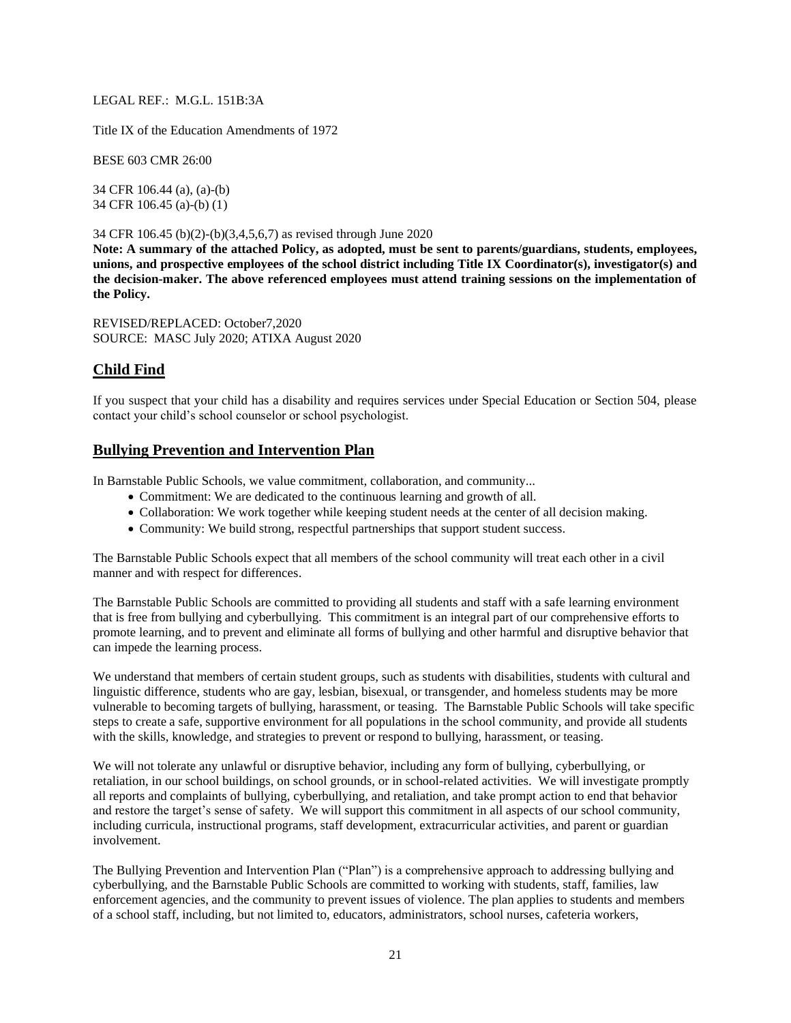#### LEGAL REF.: M.G.L. 151B:3A

Title IX of the Education Amendments of 1972

BESE 603 CMR 26:00

34 CFR 106.44 (a), (a)-(b) 34 CFR 106.45 (a)-(b) (1)

#### 34 CFR 106.45 (b)(2)-(b)(3,4,5,6,7) as revised through June 2020

**Note: A summary of the attached Policy, as adopted, must be sent to parents/guardians, students, employees, unions, and prospective employees of the school district including Title IX Coordinator(s), investigator(s) and the decision-maker. The above referenced employees must attend training sessions on the implementation of the Policy.**

REVISED/REPLACED: October7,2020 SOURCE: MASC July 2020; ATIXA August 2020

# **Child Find**

If you suspect that your child has a disability and requires services under Special Education or Section 504, please contact your child's school counselor or school psychologist.

# **Bullying Prevention and Intervention Plan**

In Barnstable Public Schools, we value commitment, collaboration, and community...

- Commitment: We are dedicated to the continuous learning and growth of all.
- Collaboration: We work together while keeping student needs at the center of all decision making.
- Community: We build strong, respectful partnerships that support student success.

The Barnstable Public Schools expect that all members of the school community will treat each other in a civil manner and with respect for differences.

The Barnstable Public Schools are committed to providing all students and staff with a safe learning environment that is free from bullying and cyberbullying. This commitment is an integral part of our comprehensive efforts to promote learning, and to prevent and eliminate all forms of bullying and other harmful and disruptive behavior that can impede the learning process.

We understand that members of certain student groups, such as students with disabilities, students with cultural and linguistic difference, students who are gay, lesbian, bisexual, or transgender, and homeless students may be more vulnerable to becoming targets of bullying, harassment, or teasing. The Barnstable Public Schools will take specific steps to create a safe, supportive environment for all populations in the school community, and provide all students with the skills, knowledge, and strategies to prevent or respond to bullying, harassment, or teasing.

We will not tolerate any unlawful or disruptive behavior, including any form of bullying, cyberbullying, or retaliation, in our school buildings, on school grounds, or in school-related activities. We will investigate promptly all reports and complaints of bullying, cyberbullying, and retaliation, and take prompt action to end that behavior and restore the target's sense of safety. We will support this commitment in all aspects of our school community, including curricula, instructional programs, staff development, extracurricular activities, and parent or guardian involvement.

The Bullying Prevention and Intervention Plan ("Plan") is a comprehensive approach to addressing bullying and cyberbullying, and the Barnstable Public Schools are committed to working with students, staff, families, law enforcement agencies, and the community to prevent issues of violence. The plan applies to students and members of a school staff, including, but not limited to, educators, administrators, school nurses, cafeteria workers,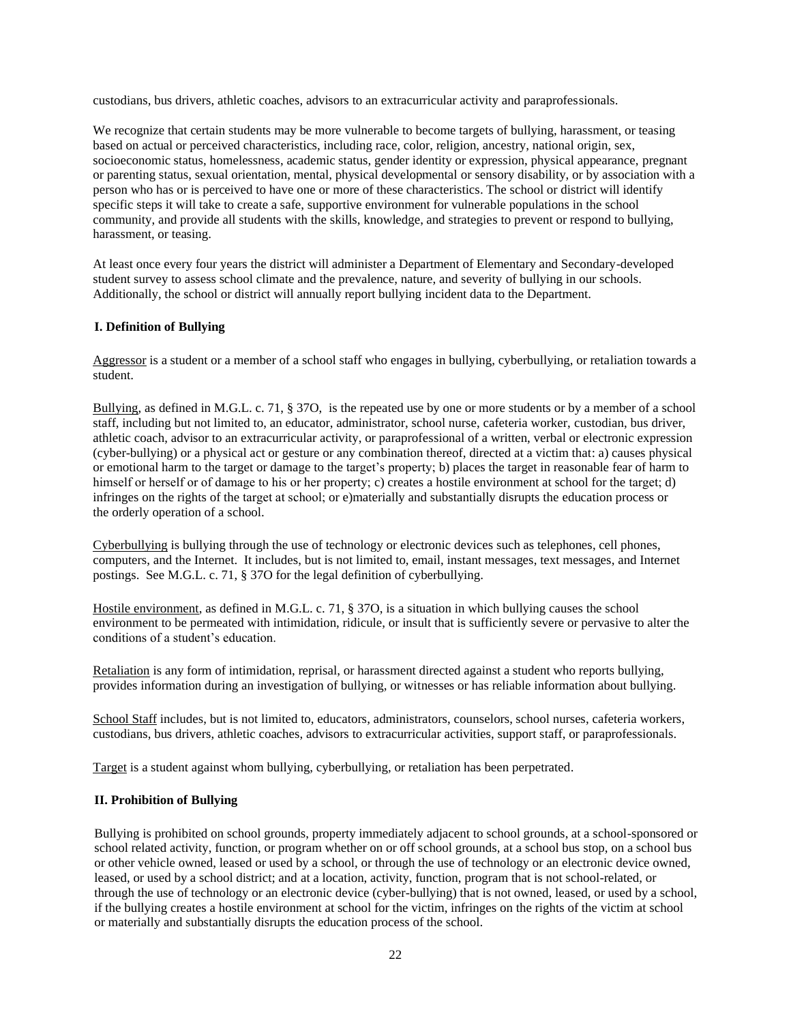custodians, bus drivers, athletic coaches, advisors to an extracurricular activity and paraprofessionals.

We recognize that certain students may be more vulnerable to become targets of bullying, harassment, or teasing based on actual or perceived characteristics, including race, color, religion, ancestry, national origin, sex, socioeconomic status, homelessness, academic status, gender identity or expression, physical appearance, pregnant or parenting status, sexual orientation, mental, physical developmental or sensory disability, or by association with a person who has or is perceived to have one or more of these characteristics. The school or district will identify specific steps it will take to create a safe, supportive environment for vulnerable populations in the school community, and provide all students with the skills, knowledge, and strategies to prevent or respond to bullying, harassment, or teasing.

At least once every four years the district will administer a Department of Elementary and Secondary-developed student survey to assess school climate and the prevalence, nature, and severity of bullying in our schools. Additionally, the school or district will annually report bullying incident data to the Department.

### **I. Definition of Bullying**

Aggressor is a student or a member of a school staff who engages in bullying, cyberbullying, or retaliation towards a student.

Bullying, as defined in M.G.L. c. 71, § 37O, is the repeated use by one or more students or by a member of a school staff, including but not limited to, an educator, administrator, school nurse, cafeteria worker, custodian, bus driver, athletic coach, advisor to an extracurricular activity, or paraprofessional of a written, verbal or electronic expression (cyber-bullying) or a physical act or gesture or any combination thereof, directed at a victim that: a) causes physical or emotional harm to the target or damage to the target's property; b) places the target in reasonable fear of harm to himself or herself or of damage to his or her property; c) creates a hostile environment at school for the target; d) infringes on the rights of the target at school; or e)materially and substantially disrupts the education process or the orderly operation of a school.

Cyberbullying is bullying through the use of technology or electronic devices such as telephones, cell phones, computers, and the Internet. It includes, but is not limited to, email, instant messages, text messages, and Internet postings. See M.G.L. c. 71, § 37O for the legal definition of cyberbullying.

Hostile environment, as defined in M.G.L. c. 71, § 37O, is a situation in which bullying causes the school environment to be permeated with intimidation, ridicule, or insult that is sufficiently severe or pervasive to alter the conditions of a student's education.

Retaliation is any form of intimidation, reprisal, or harassment directed against a student who reports bullying, provides information during an investigation of bullying, or witnesses or has reliable information about bullying.

School Staff includes, but is not limited to, educators, administrators, counselors, school nurses, cafeteria workers, custodians, bus drivers, athletic coaches, advisors to extracurricular activities, support staff, or paraprofessionals.

Target is a student against whom bullying, cyberbullying, or retaliation has been perpetrated.

#### **II. Prohibition of Bullying**

Bullying is prohibited on school grounds, property immediately adjacent to school grounds, at a school-sponsored or school related activity, function, or program whether on or off school grounds, at a school bus stop, on a school bus or other vehicle owned, leased or used by a school, or through the use of technology or an electronic device owned, leased, or used by a school district; and at a location, activity, function, program that is not school-related, or through the use of technology or an electronic device (cyber-bullying) that is not owned, leased, or used by a school, if the bullying creates a hostile environment at school for the victim, infringes on the rights of the victim at school or materially and substantially disrupts the education process of the school.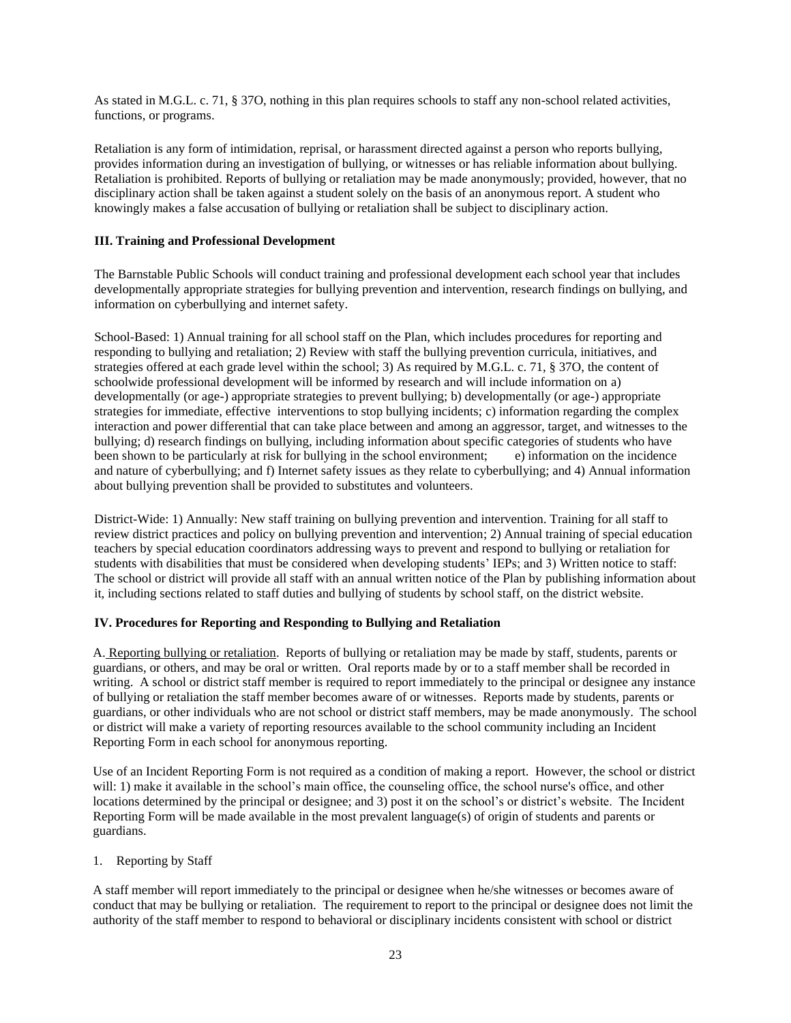As stated in M.G.L. c. 71, § 37O, nothing in this plan requires schools to staff any non-school related activities, functions, or programs.

Retaliation is any form of intimidation, reprisal, or harassment directed against a person who reports bullying, provides information during an investigation of bullying, or witnesses or has reliable information about bullying. Retaliation is prohibited. Reports of bullying or retaliation may be made anonymously; provided, however, that no disciplinary action shall be taken against a student solely on the basis of an anonymous report. A student who knowingly makes a false accusation of bullying or retaliation shall be subject to disciplinary action.

### **III. Training and Professional Development**

The Barnstable Public Schools will conduct training and professional development each school year that includes developmentally appropriate strategies for bullying prevention and intervention, research findings on bullying, and information on cyberbullying and internet safety.

School-Based: 1) Annual training for all school staff on the Plan, which includes procedures for reporting and responding to bullying and retaliation; 2) Review with staff the bullying prevention curricula, initiatives, and strategies offered at each grade level within the school; 3) As required by M.G.L. c. 71, § 37O, the content of schoolwide professional development will be informed by research and will include information on a) developmentally (or age-) appropriate strategies to prevent bullying; b) developmentally (or age-) appropriate strategies for immediate, effective interventions to stop bullying incidents; c) information regarding the complex interaction and power differential that can take place between and among an aggressor, target, and witnesses to the bullying; d) research findings on bullying, including information about specific categories of students who have been shown to be particularly at risk for bullying in the school environment; e) information on the incidence and nature of cyberbullying; and f) Internet safety issues as they relate to cyberbullying; and 4) Annual information about bullying prevention shall be provided to substitutes and volunteers.

District-Wide: 1) Annually: New staff training on bullying prevention and intervention. Training for all staff to review district practices and policy on bullying prevention and intervention; 2) Annual training of special education teachers by special education coordinators addressing ways to prevent and respond to bullying or retaliation for students with disabilities that must be considered when developing students' IEPs; and 3) Written notice to staff: The school or district will provide all staff with an annual written notice of the Plan by publishing information about it, including sections related to staff duties and bullying of students by school staff, on the district website.

### **IV. Procedures for Reporting and Responding to Bullying and Retaliation**

A. Reporting bullying or retaliation. Reports of bullying or retaliation may be made by staff, students, parents or guardians, or others, and may be oral or written. Oral reports made by or to a staff member shall be recorded in writing. A school or district staff member is required to report immediately to the principal or designee any instance of bullying or retaliation the staff member becomes aware of or witnesses. Reports made by students, parents or guardians, or other individuals who are not school or district staff members, may be made anonymously. The school or district will make a variety of reporting resources available to the school community including an Incident Reporting Form in each school for anonymous reporting.

Use of an Incident Reporting Form is not required as a condition of making a report. However, the school or district will: 1) make it available in the school's main office, the counseling office, the school nurse's office, and other locations determined by the principal or designee; and 3) post it on the school's or district's website. The Incident Reporting Form will be made available in the most prevalent language(s) of origin of students and parents or guardians.

#### 1. Reporting by Staff

A staff member will report immediately to the principal or designee when he/she witnesses or becomes aware of conduct that may be bullying or retaliation. The requirement to report to the principal or designee does not limit the authority of the staff member to respond to behavioral or disciplinary incidents consistent with school or district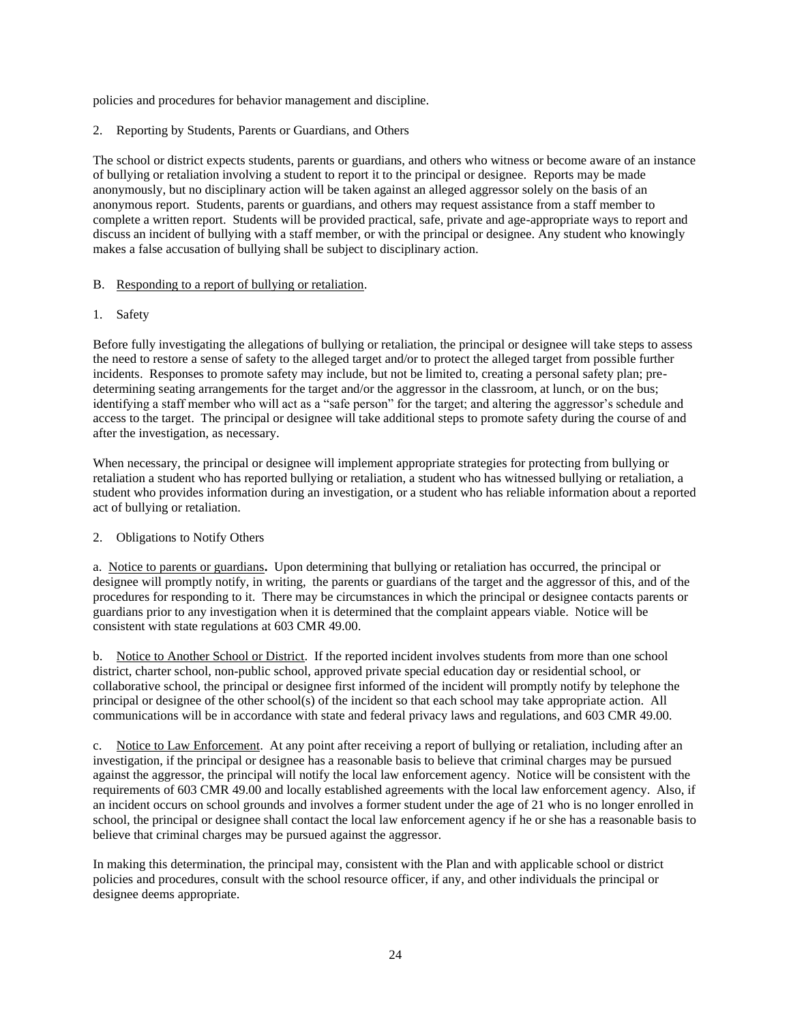policies and procedures for behavior management and discipline.

2. Reporting by Students, Parents or Guardians, and Others

The school or district expects students, parents or guardians, and others who witness or become aware of an instance of bullying or retaliation involving a student to report it to the principal or designee. Reports may be made anonymously, but no disciplinary action will be taken against an alleged aggressor solely on the basis of an anonymous report. Students, parents or guardians, and others may request assistance from a staff member to complete a written report. Students will be provided practical, safe, private and age-appropriate ways to report and discuss an incident of bullying with a staff member, or with the principal or designee. Any student who knowingly makes a false accusation of bullying shall be subject to disciplinary action.

#### B. Responding to a report of bullying or retaliation.

1. Safety

Before fully investigating the allegations of bullying or retaliation, the principal or designee will take steps to assess the need to restore a sense of safety to the alleged target and/or to protect the alleged target from possible further incidents. Responses to promote safety may include, but not be limited to, creating a personal safety plan; predetermining seating arrangements for the target and/or the aggressor in the classroom, at lunch, or on the bus; identifying a staff member who will act as a "safe person" for the target; and altering the aggressor's schedule and access to the target. The principal or designee will take additional steps to promote safety during the course of and after the investigation, as necessary.

When necessary, the principal or designee will implement appropriate strategies for protecting from bullying or retaliation a student who has reported bullying or retaliation, a student who has witnessed bullying or retaliation, a student who provides information during an investigation, or a student who has reliable information about a reported act of bullying or retaliation.

### 2. Obligations to Notify Others

a. Notice to parents or guardians**.** Upon determining that bullying or retaliation has occurred, the principal or designee will promptly notify, in writing, the parents or guardians of the target and the aggressor of this, and of the procedures for responding to it. There may be circumstances in which the principal or designee contacts parents or guardians prior to any investigation when it is determined that the complaint appears viable. Notice will be consistent with state regulations at 603 CMR 49.00.

b. Notice to Another School or District. If the reported incident involves students from more than one school district, charter school, non-public school, approved private special education day or residential school, or collaborative school, the principal or designee first informed of the incident will promptly notify by telephone the principal or designee of the other school(s) of the incident so that each school may take appropriate action. All communications will be in accordance with state and federal privacy laws and regulations, and 603 CMR 49.00.

c. Notice to Law Enforcement.At any point after receiving a report of bullying or retaliation, including after an investigation, if the principal or designee has a reasonable basis to believe that criminal charges may be pursued against the aggressor, the principal will notify the local law enforcement agency. Notice will be consistent with the requirements of 603 CMR 49.00 and locally established agreements with the local law enforcement agency. Also, if an incident occurs on school grounds and involves a former student under the age of 21 who is no longer enrolled in school, the principal or designee shall contact the local law enforcement agency if he or she has a reasonable basis to believe that criminal charges may be pursued against the aggressor.

In making this determination, the principal may, consistent with the Plan and with applicable school or district policies and procedures, consult with the school resource officer, if any, and other individuals the principal or designee deems appropriate.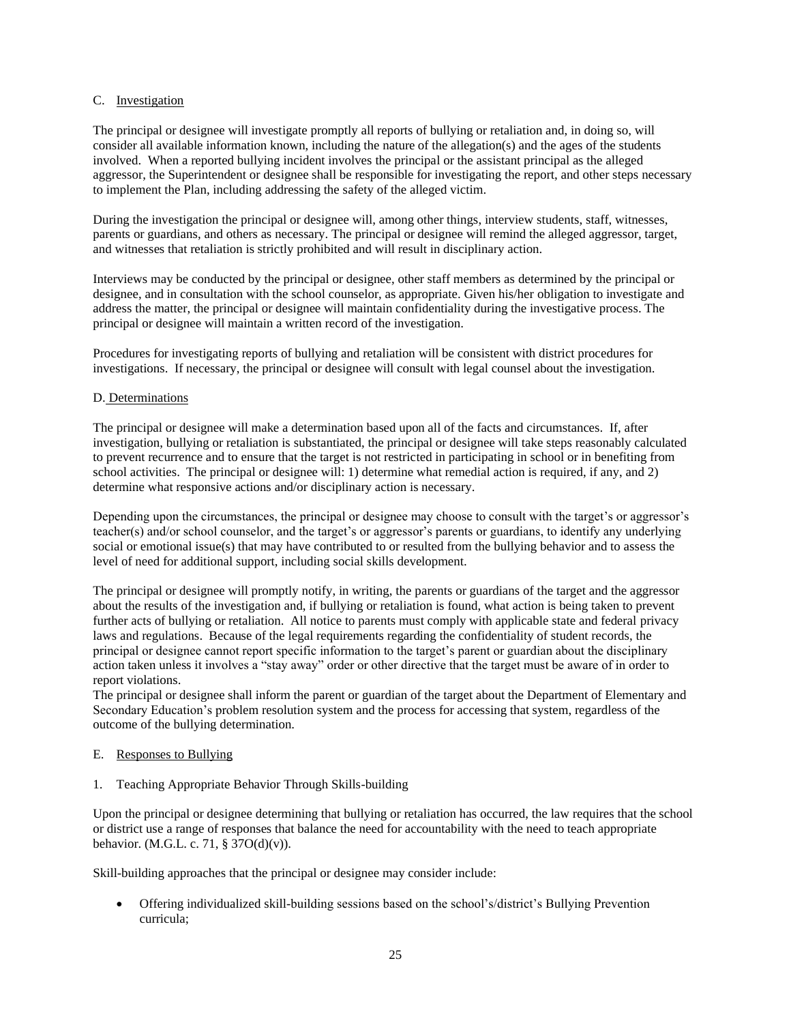### C. Investigation

The principal or designee will investigate promptly all reports of bullying or retaliation and, in doing so, will consider all available information known, including the nature of the allegation(s) and the ages of the students involved. When a reported bullying incident involves the principal or the assistant principal as the alleged aggressor, the Superintendent or designee shall be responsible for investigating the report, and other steps necessary to implement the Plan, including addressing the safety of the alleged victim.

During the investigation the principal or designee will, among other things, interview students, staff, witnesses, parents or guardians, and others as necessary. The principal or designee will remind the alleged aggressor, target, and witnesses that retaliation is strictly prohibited and will result in disciplinary action.

Interviews may be conducted by the principal or designee, other staff members as determined by the principal or designee, and in consultation with the school counselor, as appropriate. Given his/her obligation to investigate and address the matter, the principal or designee will maintain confidentiality during the investigative process. The principal or designee will maintain a written record of the investigation.

Procedures for investigating reports of bullying and retaliation will be consistent with district procedures for investigations. If necessary, the principal or designee will consult with legal counsel about the investigation.

### D. Determinations

The principal or designee will make a determination based upon all of the facts and circumstances. If, after investigation, bullying or retaliation is substantiated, the principal or designee will take steps reasonably calculated to prevent recurrence and to ensure that the target is not restricted in participating in school or in benefiting from school activities. The principal or designee will: 1) determine what remedial action is required, if any, and 2) determine what responsive actions and/or disciplinary action is necessary.

Depending upon the circumstances, the principal or designee may choose to consult with the target's or aggressor's teacher(s) and/or school counselor, and the target's or aggressor's parents or guardians, to identify any underlying social or emotional issue(s) that may have contributed to or resulted from the bullying behavior and to assess the level of need for additional support, including social skills development.

The principal or designee will promptly notify, in writing, the parents or guardians of the target and the aggressor about the results of the investigation and, if bullying or retaliation is found, what action is being taken to prevent further acts of bullying or retaliation. All notice to parents must comply with applicable state and federal privacy laws and regulations. Because of the legal requirements regarding the confidentiality of student records, the principal or designee cannot report specific information to the target's parent or guardian about the disciplinary action taken unless it involves a "stay away" order or other directive that the target must be aware of in order to report violations.

The principal or designee shall inform the parent or guardian of the target about the Department of Elementary and Secondary Education's problem resolution system and the process for accessing that system, regardless of the outcome of the bullying determination.

#### E. Responses to Bullying

1. Teaching Appropriate Behavior Through Skills-building

Upon the principal or designee determining that bullying or retaliation has occurred, the law requires that the school or district use a range of responses that balance the need for accountability with the need to teach appropriate behavior. (M.G.L. c. 71, § 37O(d)(v)).

Skill-building approaches that the principal or designee may consider include:

• Offering individualized skill-building sessions based on the school's/district's Bullying Prevention curricula;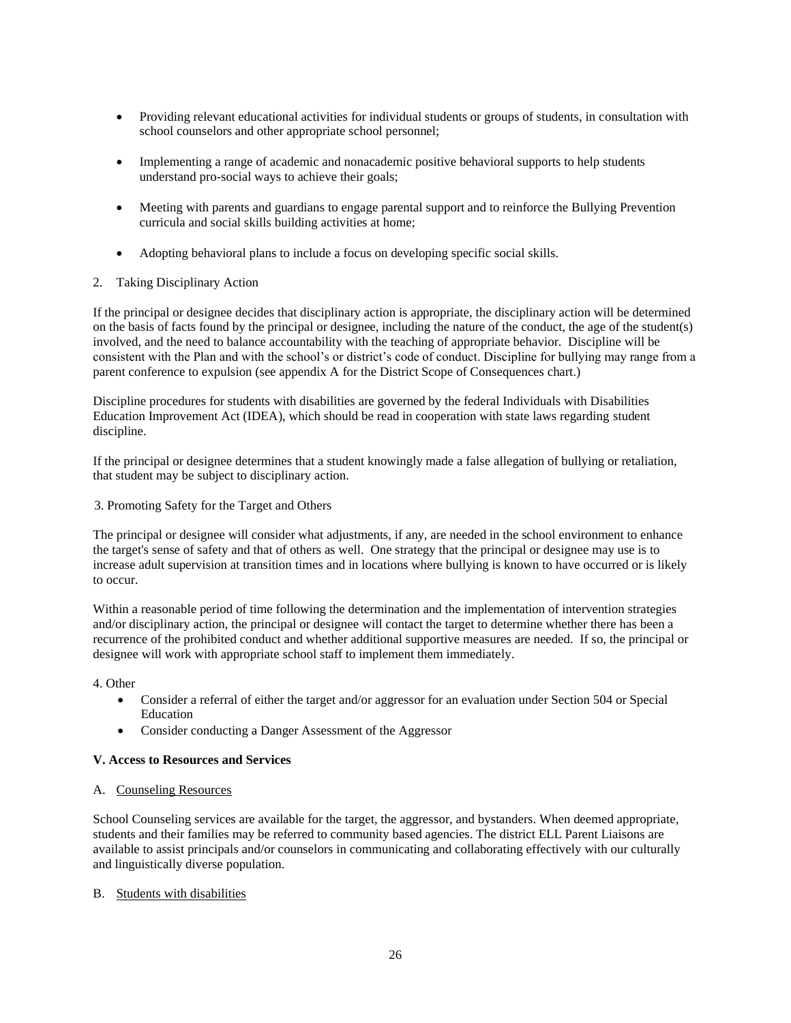- Providing relevant educational activities for individual students or groups of students, in consultation with school counselors and other appropriate school personnel;
- Implementing a range of academic and nonacademic positive behavioral supports to help students understand pro-social ways to achieve their goals;
- Meeting with parents and guardians to engage parental support and to reinforce the Bullying Prevention curricula and social skills building activities at home;
- Adopting behavioral plans to include a focus on developing specific social skills.
- 2. Taking Disciplinary Action

If the principal or designee decides that disciplinary action is appropriate, the disciplinary action will be determined on the basis of facts found by the principal or designee, including the nature of the conduct, the age of the student(s) involved, and the need to balance accountability with the teaching of appropriate behavior. Discipline will be consistent with the Plan and with the school's or district's code of conduct. Discipline for bullying may range from a parent conference to expulsion (see appendix A for the District Scope of Consequences chart.)

Discipline procedures for students with disabilities are governed by the federal Individuals with Disabilities Education Improvement Act (IDEA), which should be read in cooperation with state laws regarding student discipline.

If the principal or designee determines that a student knowingly made a false allegation of bullying or retaliation, that student may be subject to disciplinary action.

3. Promoting Safety for the Target and Others

The principal or designee will consider what adjustments, if any, are needed in the school environment to enhance the target's sense of safety and that of others as well. One strategy that the principal or designee may use is to increase adult supervision at transition times and in locations where bullying is known to have occurred or is likely to occur.

Within a reasonable period of time following the determination and the implementation of intervention strategies and/or disciplinary action, the principal or designee will contact the target to determine whether there has been a recurrence of the prohibited conduct and whether additional supportive measures are needed. If so, the principal or designee will work with appropriate school staff to implement them immediately.

4. Other

- Consider a referral of either the target and/or aggressor for an evaluation under Section 504 or Special Education
- Consider conducting a Danger Assessment of the Aggressor

### **V. Access to Resources and Services**

#### A. Counseling Resources

School Counseling services are available for the target, the aggressor, and bystanders. When deemed appropriate, students and their families may be referred to community based agencies. The district ELL Parent Liaisons are available to assist principals and/or counselors in communicating and collaborating effectively with our culturally and linguistically diverse population.

#### B. Students with disabilities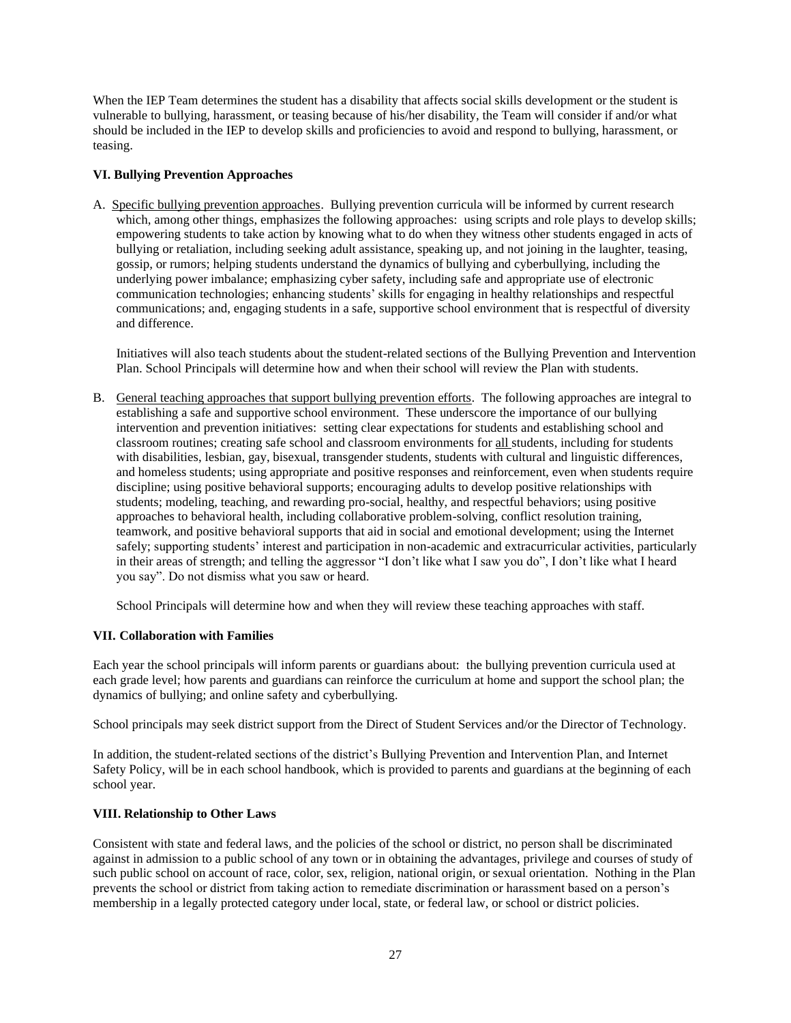When the IEP Team determines the student has a disability that affects social skills development or the student is vulnerable to bullying, harassment, or teasing because of his/her disability, the Team will consider if and/or what should be included in the IEP to develop skills and proficiencies to avoid and respond to bullying, harassment, or teasing.

### **VI. Bullying Prevention Approaches**

A. Specific bullying prevention approaches. Bullying prevention curricula will be informed by current research which, among other things, emphasizes the following approaches: using scripts and role plays to develop skills; empowering students to take action by knowing what to do when they witness other students engaged in acts of bullying or retaliation, including seeking adult assistance, speaking up, and not joining in the laughter, teasing, gossip, or rumors; helping students understand the dynamics of bullying and cyberbullying, including the underlying power imbalance; emphasizing cyber safety, including safe and appropriate use of electronic communication technologies; enhancing students' skills for engaging in healthy relationships and respectful communications; and, engaging students in a safe, supportive school environment that is respectful of diversity and difference.

Initiatives will also teach students about the student-related sections of the Bullying Prevention and Intervention Plan. School Principals will determine how and when their school will review the Plan with students.

B. General teaching approaches that support bullying prevention efforts. The following approaches are integral to establishing a safe and supportive school environment. These underscore the importance of our bullying intervention and prevention initiatives: setting clear expectations for students and establishing school and classroom routines; creating safe school and classroom environments for all students, including for students with disabilities, lesbian, gay, bisexual, transgender students, students with cultural and linguistic differences, and homeless students; using appropriate and positive responses and reinforcement, even when students require discipline; using positive behavioral supports; encouraging adults to develop positive relationships with students; modeling, teaching, and rewarding pro-social, healthy, and respectful behaviors; using positive approaches to behavioral health, including collaborative problem-solving, conflict resolution training, teamwork, and positive behavioral supports that aid in social and emotional development; using the Internet safely; supporting students' interest and participation in non-academic and extracurricular activities, particularly in their areas of strength; and telling the aggressor "I don't like what I saw you do", I don't like what I heard you say". Do not dismiss what you saw or heard.

School Principals will determine how and when they will review these teaching approaches with staff.

# **VII. Collaboration with Families**

Each year the school principals will inform parents or guardians about: the bullying prevention curricula used at each grade level; how parents and guardians can reinforce the curriculum at home and support the school plan; the dynamics of bullying; and online safety and cyberbullying.

School principals may seek district support from the Direct of Student Services and/or the Director of Technology.

In addition, the student-related sections of the district's Bullying Prevention and Intervention Plan, and Internet Safety Policy, will be in each school handbook, which is provided to parents and guardians at the beginning of each school year.

### **VIII. Relationship to Other Laws**

Consistent with state and federal laws, and the policies of the school or district, no person shall be discriminated against in admission to a public school of any town or in obtaining the advantages, privilege and courses of study of such public school on account of race, color, sex, religion, national origin, or sexual orientation. Nothing in the Plan prevents the school or district from taking action to remediate discrimination or harassment based on a person's membership in a legally protected category under local, state, or federal law, or school or district policies.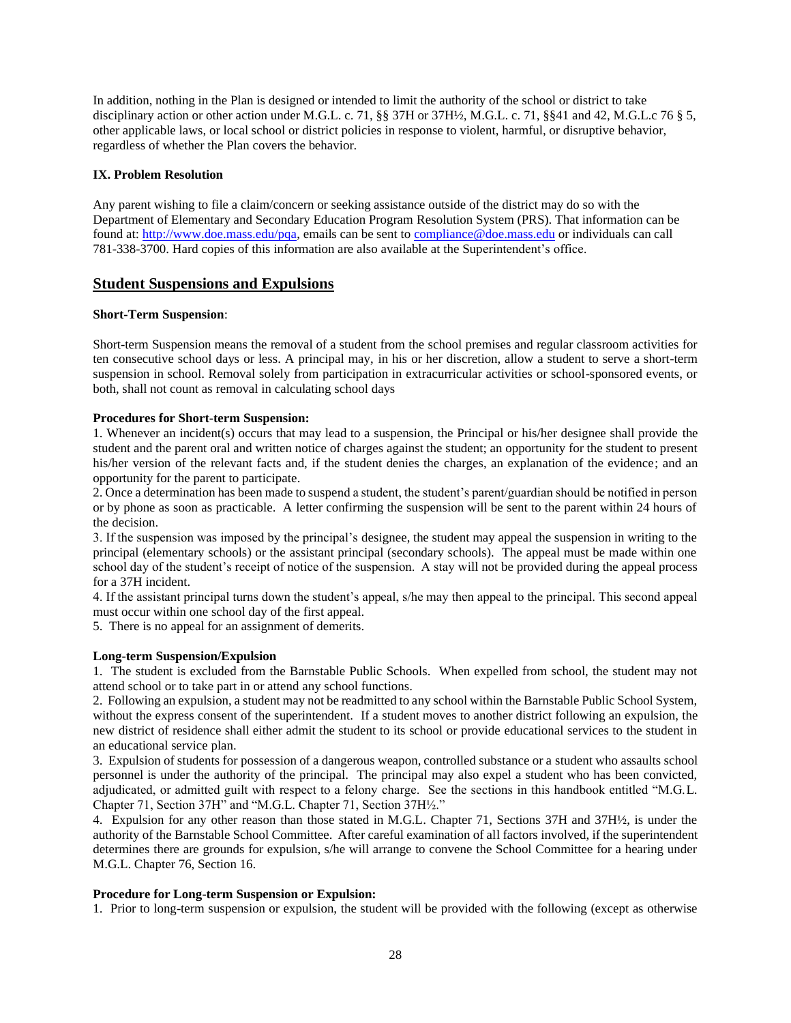In addition, nothing in the Plan is designed or intended to limit the authority of the school or district to take disciplinary action or other action under M.G.L. c. 71, §§ 37H or 37H½, M.G.L. c. 71, §§41 and 42, M.G.L. c 76 § 5, other applicable laws, or local school or district policies in response to violent, harmful, or disruptive behavior, regardless of whether the Plan covers the behavior.

### **IX. Problem Resolution**

Any parent wishing to file a claim/concern or seeking assistance outside of the district may do so with the Department of Elementary and Secondary Education Program Resolution System (PRS). That information can be found at: [http://www.doe.mass.edu/pqa,](http://www.doe.mass.edu/pqa) emails can be sent t[o compliance@doe.mass.edu](mailto:compliance@doe.mass.edu) or individuals can call 781-338-3700. Hard copies of this information are also available at the Superintendent's office.

# **Student Suspensions and Expulsions**

#### **Short-Term Suspension**:

Short-term Suspension means the removal of a student from the school premises and regular classroom activities for ten consecutive school days or less. A principal may, in his or her discretion, allow a student to serve a short-term suspension in school. Removal solely from participation in extracurricular activities or school-sponsored events, or both, shall not count as removal in calculating school days

### **Procedures for Short-term Suspension:**

1. Whenever an incident(s) occurs that may lead to a suspension, the Principal or his/her designee shall provide the student and the parent oral and written notice of charges against the student; an opportunity for the student to present his/her version of the relevant facts and, if the student denies the charges, an explanation of the evidence; and an opportunity for the parent to participate.

2. Once a determination has been made to suspend a student, the student's parent/guardian should be notified in person or by phone as soon as practicable. A letter confirming the suspension will be sent to the parent within 24 hours of the decision.

3. If the suspension was imposed by the principal's designee, the student may appeal the suspension in writing to the principal (elementary schools) or the assistant principal (secondary schools). The appeal must be made within one school day of the student's receipt of notice of the suspension. A stay will not be provided during the appeal process for a 37H incident.

4. If the assistant principal turns down the student's appeal, s/he may then appeal to the principal. This second appeal must occur within one school day of the first appeal.

5. There is no appeal for an assignment of demerits.

### **Long-term Suspension/Expulsion**

1. The student is excluded from the Barnstable Public Schools. When expelled from school, the student may not attend school or to take part in or attend any school functions.

2. Following an expulsion, a student may not be readmitted to any school within the Barnstable Public School System, without the express consent of the superintendent. If a student moves to another district following an expulsion, the new district of residence shall either admit the student to its school or provide educational services to the student in an educational service plan.

3. Expulsion of students for possession of a dangerous weapon, controlled substance or a student who assaults school personnel is under the authority of the principal. The principal may also expel a student who has been convicted, adjudicated, or admitted guilt with respect to a felony charge. See the sections in this handbook entitled "M.G.L. Chapter 71, Section 37H" and "M.G.L. Chapter 71, Section 37H½."

4. Expulsion for any other reason than those stated in M.G.L. Chapter 71, Sections 37H and 37H½, is under the authority of the Barnstable School Committee. After careful examination of all factors involved, if the superintendent determines there are grounds for expulsion, s/he will arrange to convene the School Committee for a hearing under M.G.L. Chapter 76, Section 16.

#### **Procedure for Long-term Suspension or Expulsion:**

1. Prior to long-term suspension or expulsion, the student will be provided with the following (except as otherwise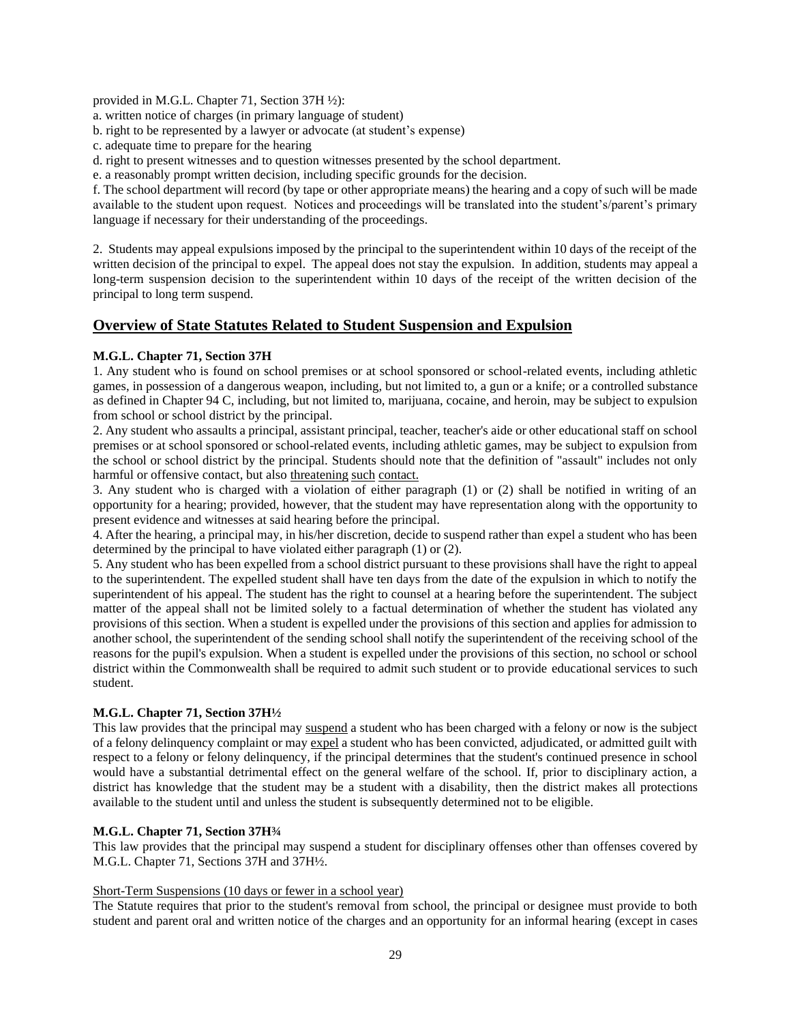provided in M.G.L. Chapter 71, Section 37H ½):

a. written notice of charges (in primary language of student)

- b. right to be represented by a lawyer or advocate (at student's expense)
- c. adequate time to prepare for the hearing

d. right to present witnesses and to question witnesses presented by the school department.

e. a reasonably prompt written decision, including specific grounds for the decision.

f. The school department will record (by tape or other appropriate means) the hearing and a copy of such will be made available to the student upon request. Notices and proceedings will be translated into the student's/parent's primary language if necessary for their understanding of the proceedings.

2. Students may appeal expulsions imposed by the principal to the superintendent within 10 days of the receipt of the written decision of the principal to expel. The appeal does not stay the expulsion. In addition, students may appeal a long-term suspension decision to the superintendent within 10 days of the receipt of the written decision of the principal to long term suspend.

# **Overview of State Statutes Related to Student Suspension and Expulsion**

### **M.G.L. Chapter 71, Section 37H**

1. Any student who is found on school premises or at school sponsored or school-related events, including athletic games, in possession of a dangerous weapon, including, but not limited to, a gun or a knife; or a controlled substance as defined in Chapter 94 C, including, but not limited to, marijuana, cocaine, and heroin, may be subject to expulsion from school or school district by the principal.

2. Any student who assaults a principal, assistant principal, teacher, teacher's aide or other educational staff on school premises or at school sponsored or school-related events, including athletic games, may be subject to expulsion from the school or school district by the principal. Students should note that the definition of "assault" includes not only harmful or offensive contact, but also threatening such contact.

3. Any student who is charged with a violation of either paragraph (1) or (2) shall be notified in writing of an opportunity for a hearing; provided, however, that the student may have representation along with the opportunity to present evidence and witnesses at said hearing before the principal.

4. After the hearing, a principal may, in his/her discretion, decide to suspend rather than expel a student who has been determined by the principal to have violated either paragraph (1) or (2).

5. Any student who has been expelled from a school district pursuant to these provisions shall have the right to appeal to the superintendent. The expelled student shall have ten days from the date of the expulsion in which to notify the superintendent of his appeal. The student has the right to counsel at a hearing before the superintendent. The subject matter of the appeal shall not be limited solely to a factual determination of whether the student has violated any provisions of this section. When a student is expelled under the provisions of this section and applies for admission to another school, the superintendent of the sending school shall notify the superintendent of the receiving school of the reasons for the pupil's expulsion. When a student is expelled under the provisions of this section, no school or school district within the Commonwealth shall be required to admit such student or to provide educational services to such student.

### **M.G.L. Chapter 71, Section 37H½**

This law provides that the principal may suspend a student who has been charged with a felony or now is the subject of a felony delinquency complaint or may expel a student who has been convicted, adjudicated, or admitted guilt with respect to a felony or felony delinquency, if the principal determines that the student's continued presence in school would have a substantial detrimental effect on the general welfare of the school. If, prior to disciplinary action, a district has knowledge that the student may be a student with a disability, then the district makes all protections available to the student until and unless the student is subsequently determined not to be eligible.

### **M.G.L. Chapter 71, Section 37H¾**

This law provides that the principal may suspend a student for disciplinary offenses other than offenses covered by M.G.L. Chapter 71, Sections 37H and 37H½.

### Short-Term Suspensions (10 days or fewer in a school year)

The Statute requires that prior to the student's removal from school, the principal or designee must provide to both student and parent oral and written notice of the charges and an opportunity for an informal hearing (except in cases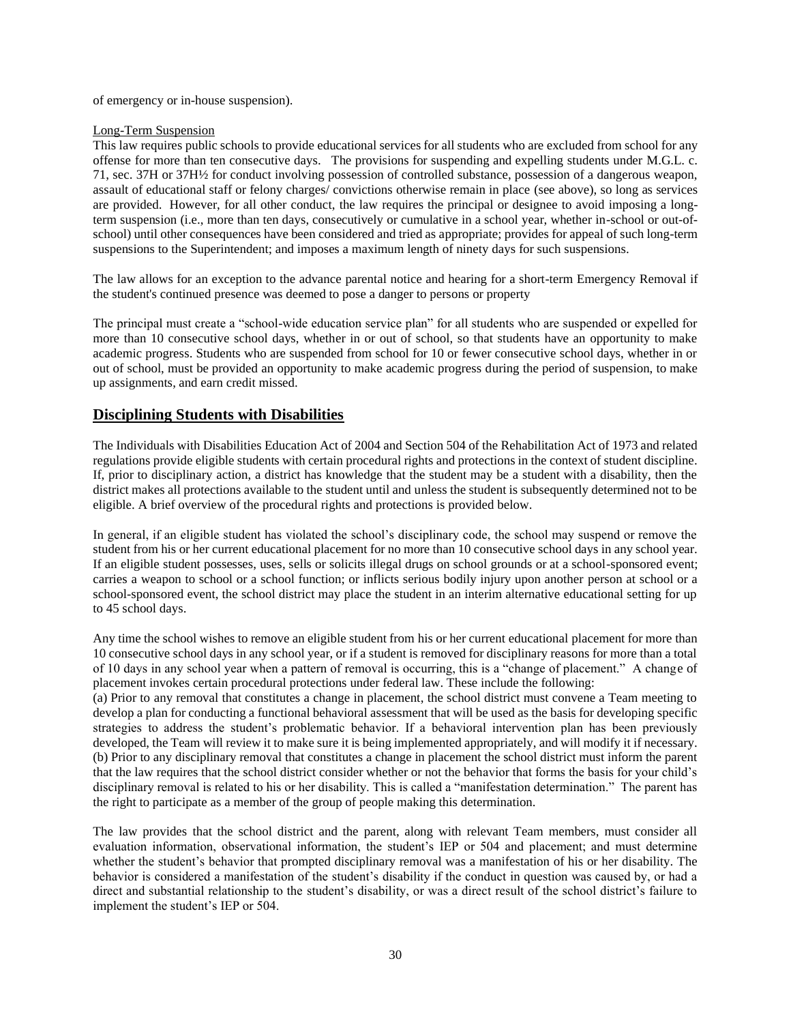of emergency or in-house suspension).

### Long-Term Suspension

This law requires public schools to provide educational services for all students who are excluded from school for any offense for more than ten consecutive days. The provisions for suspending and expelling students under M.G.L. c. 71, sec. 37H or 37H½ for conduct involving possession of controlled substance, possession of a dangerous weapon, assault of educational staff or felony charges/ convictions otherwise remain in place (see above), so long as services are provided. However, for all other conduct, the law requires the principal or designee to avoid imposing a longterm suspension (i.e., more than ten days, consecutively or cumulative in a school year, whether in-school or out-ofschool) until other consequences have been considered and tried as appropriate; provides for appeal of such long-term suspensions to the Superintendent; and imposes a maximum length of ninety days for such suspensions.

The law allows for an exception to the advance parental notice and hearing for a short-term Emergency Removal if the student's continued presence was deemed to pose a danger to persons or property

The principal must create a "school-wide education service plan" for all students who are suspended or expelled for more than 10 consecutive school days, whether in or out of school, so that students have an opportunity to make academic progress. Students who are suspended from school for 10 or fewer consecutive school days, whether in or out of school, must be provided an opportunity to make academic progress during the period of suspension, to make up assignments, and earn credit missed.

# **Disciplining Students with Disabilities**

The Individuals with Disabilities Education Act of 2004 and Section 504 of the Rehabilitation Act of 1973 and related regulations provide eligible students with certain procedural rights and protections in the context of student discipline. If, prior to disciplinary action, a district has knowledge that the student may be a student with a disability, then the district makes all protections available to the student until and unless the student is subsequently determined not to be eligible. A brief overview of the procedural rights and protections is provided below.

In general, if an eligible student has violated the school's disciplinary code, the school may suspend or remove the student from his or her current educational placement for no more than 10 consecutive school days in any school year. If an eligible student possesses, uses, sells or solicits illegal drugs on school grounds or at a school-sponsored event; carries a weapon to school or a school function; or inflicts serious bodily injury upon another person at school or a school-sponsored event, the school district may place the student in an interim alternative educational setting for up to 45 school days.

Any time the school wishes to remove an eligible student from his or her current educational placement for more than 10 consecutive school days in any school year, or if a student is removed for disciplinary reasons for more than a total of 10 days in any school year when a pattern of removal is occurring, this is a "change of placement." A change of placement invokes certain procedural protections under federal law. These include the following:

(a) Prior to any removal that constitutes a change in placement, the school district must convene a Team meeting to develop a plan for conducting a functional behavioral assessment that will be used as the basis for developing specific strategies to address the student's problematic behavior. If a behavioral intervention plan has been previously developed, the Team will review it to make sure it is being implemented appropriately, and will modify it if necessary. (b) Prior to any disciplinary removal that constitutes a change in placement the school district must inform the parent that the law requires that the school district consider whether or not the behavior that forms the basis for your child's disciplinary removal is related to his or her disability. This is called a "manifestation determination." The parent has the right to participate as a member of the group of people making this determination.

The law provides that the school district and the parent, along with relevant Team members, must consider all evaluation information, observational information, the student's IEP or 504 and placement; and must determine whether the student's behavior that prompted disciplinary removal was a manifestation of his or her disability. The behavior is considered a manifestation of the student's disability if the conduct in question was caused by, or had a direct and substantial relationship to the student's disability, or was a direct result of the school district's failure to implement the student's IEP or 504.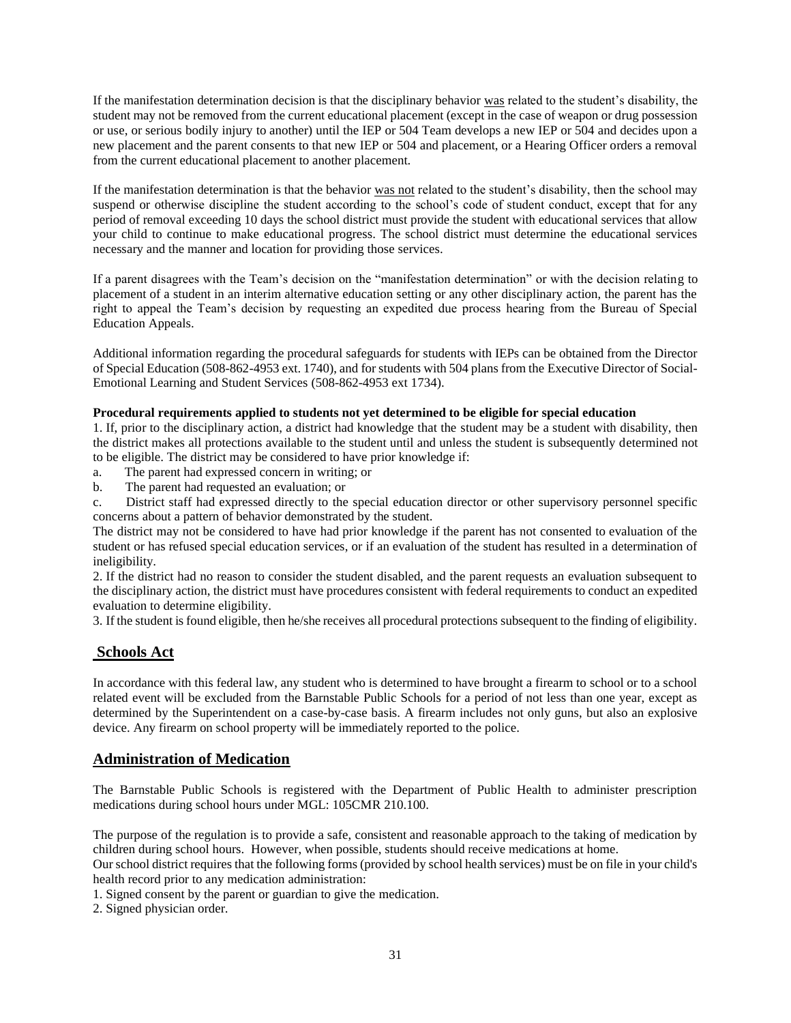If the manifestation determination decision is that the disciplinary behavior was related to the student's disability, the student may not be removed from the current educational placement (except in the case of weapon or drug possession or use, or serious bodily injury to another) until the IEP or 504 Team develops a new IEP or 504 and decides upon a new placement and the parent consents to that new IEP or 504 and placement, or a Hearing Officer orders a removal from the current educational placement to another placement.

If the manifestation determination is that the behavior was not related to the student's disability, then the school may suspend or otherwise discipline the student according to the school's code of student conduct, except that for any period of removal exceeding 10 days the school district must provide the student with educational services that allow your child to continue to make educational progress. The school district must determine the educational services necessary and the manner and location for providing those services.

If a parent disagrees with the Team's decision on the "manifestation determination" or with the decision relating to placement of a student in an interim alternative education setting or any other disciplinary action, the parent has the right to appeal the Team's decision by requesting an expedited due process hearing from the Bureau of Special Education Appeals.

Additional information regarding the procedural safeguards for students with IEPs can be obtained from the Director of Special Education (508-862-4953 ext. 1740), and for students with 504 plans from the Executive Director of Social-Emotional Learning and Student Services (508-862-4953 ext 1734).

### **Procedural requirements applied to students not yet determined to be eligible for special education**

1. If, prior to the disciplinary action, a district had knowledge that the student may be a student with disability, then the district makes all protections available to the student until and unless the student is subsequently determined not to be eligible. The district may be considered to have prior knowledge if:

- a. The parent had expressed concern in writing; or
- b. The parent had requested an evaluation; or
- c. District staff had expressed directly to the special education director or other supervisory personnel specific concerns about a pattern of behavior demonstrated by the student.

The district may not be considered to have had prior knowledge if the parent has not consented to evaluation of the student or has refused special education services, or if an evaluation of the student has resulted in a determination of ineligibility.

2. If the district had no reason to consider the student disabled, and the parent requests an evaluation subsequent to the disciplinary action, the district must have procedures consistent with federal requirements to conduct an expedited evaluation to determine eligibility.

3. If the student is found eligible, then he/she receives all procedural protections subsequent to the finding of eligibility.

# **Schools Act**

In accordance with this federal law, any student who is determined to have brought a firearm to school or to a school related event will be excluded from the Barnstable Public Schools for a period of not less than one year, except as determined by the Superintendent on a case-by-case basis. A firearm includes not only guns, but also an explosive device. Any firearm on school property will be immediately reported to the police.

# **Administration of Medication**

The Barnstable Public Schools is registered with the Department of Public Health to administer prescription medications during school hours under MGL: 105CMR 210.100.

The purpose of the regulation is to provide a safe, consistent and reasonable approach to the taking of medication by children during school hours. However, when possible, students should receive medications at home.

Our school district requires that the following forms (provided by school health services) must be on file in your child's health record prior to any medication administration:

1. Signed consent by the parent or guardian to give the medication.

2. Signed physician order.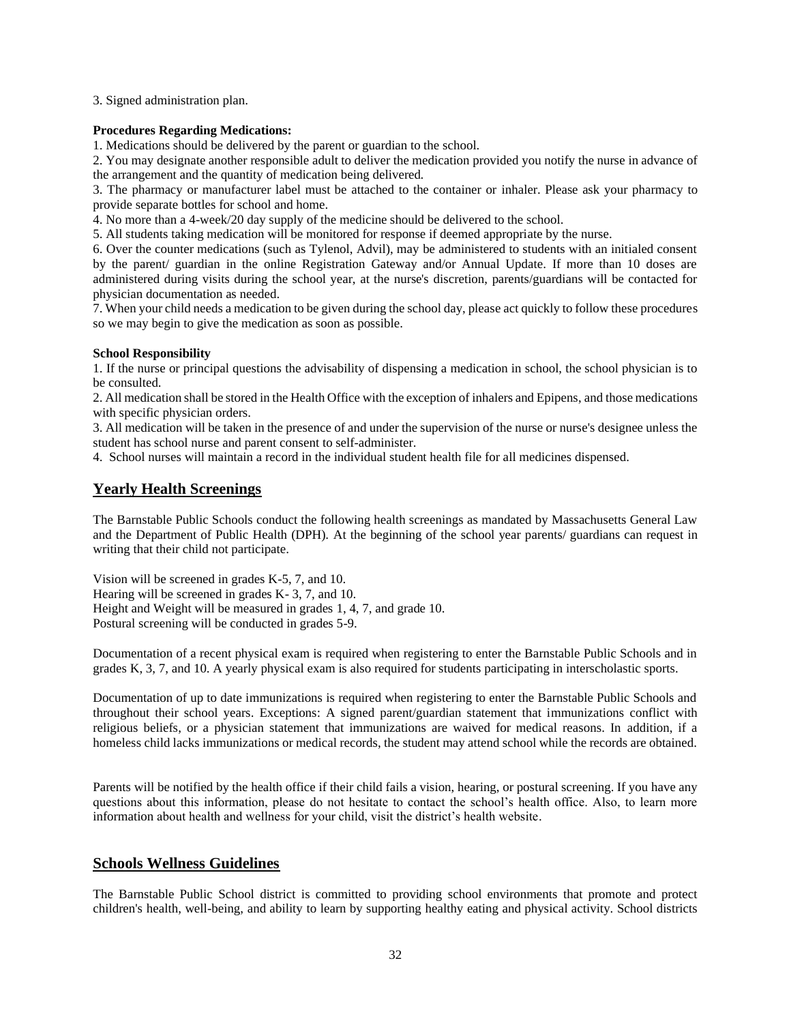3. Signed administration plan.

### **Procedures Regarding Medications:**

1. Medications should be delivered by the parent or guardian to the school.

2. You may designate another responsible adult to deliver the medication provided you notify the nurse in advance of the arrangement and the quantity of medication being delivered.

3. The pharmacy or manufacturer label must be attached to the container or inhaler. Please ask your pharmacy to provide separate bottles for school and home.

4. No more than a 4-week/20 day supply of the medicine should be delivered to the school.

5. All students taking medication will be monitored for response if deemed appropriate by the nurse.

6. Over the counter medications (such as Tylenol, Advil), may be administered to students with an initialed consent by the parent/ guardian in the online Registration Gateway and/or Annual Update. If more than 10 doses are administered during visits during the school year, at the nurse's discretion, parents/guardians will be contacted for physician documentation as needed.

7. When your child needs a medication to be given during the school day, please act quickly to follow these procedures so we may begin to give the medication as soon as possible.

#### **School Responsibility**

1. If the nurse or principal questions the advisability of dispensing a medication in school, the school physician is to be consulted.

2. All medication shall be stored in the Health Office with the exception of inhalers and Epipens, and those medications with specific physician orders.

3. All medication will be taken in the presence of and under the supervision of the nurse or nurse's designee unless the student has school nurse and parent consent to self-administer.

4. School nurses will maintain a record in the individual student health file for all medicines dispensed.

# **Yearly Health Screenings**

The Barnstable Public Schools conduct the following health screenings as mandated by Massachusetts General Law and the Department of Public Health (DPH). At the beginning of the school year parents/ guardians can request in writing that their child not participate.

Vision will be screened in grades K-5, 7, and 10. Hearing will be screened in grades K- 3, 7, and 10. Height and Weight will be measured in grades 1, 4, 7, and grade 10. Postural screening will be conducted in grades 5-9.

Documentation of a recent physical exam is required when registering to enter the Barnstable Public Schools and in grades K, 3, 7, and 10. A yearly physical exam is also required for students participating in interscholastic sports.

Documentation of up to date immunizations is required when registering to enter the Barnstable Public Schools and throughout their school years. Exceptions: A signed parent/guardian statement that immunizations conflict with religious beliefs, or a physician statement that immunizations are waived for medical reasons. In addition, if a homeless child lacks immunizations or medical records, the student may attend school while the records are obtained.

Parents will be notified by the health office if their child fails a vision, hearing, or postural screening. If you have any questions about this information, please do not hesitate to contact the school's health office. Also, to learn more information about health and wellness for your child, visit the district's health website.

# **Schools Wellness Guidelines**

The Barnstable Public School district is committed to providing school environments that promote and protect children's health, well-being, and ability to learn by supporting healthy eating and physical activity. School districts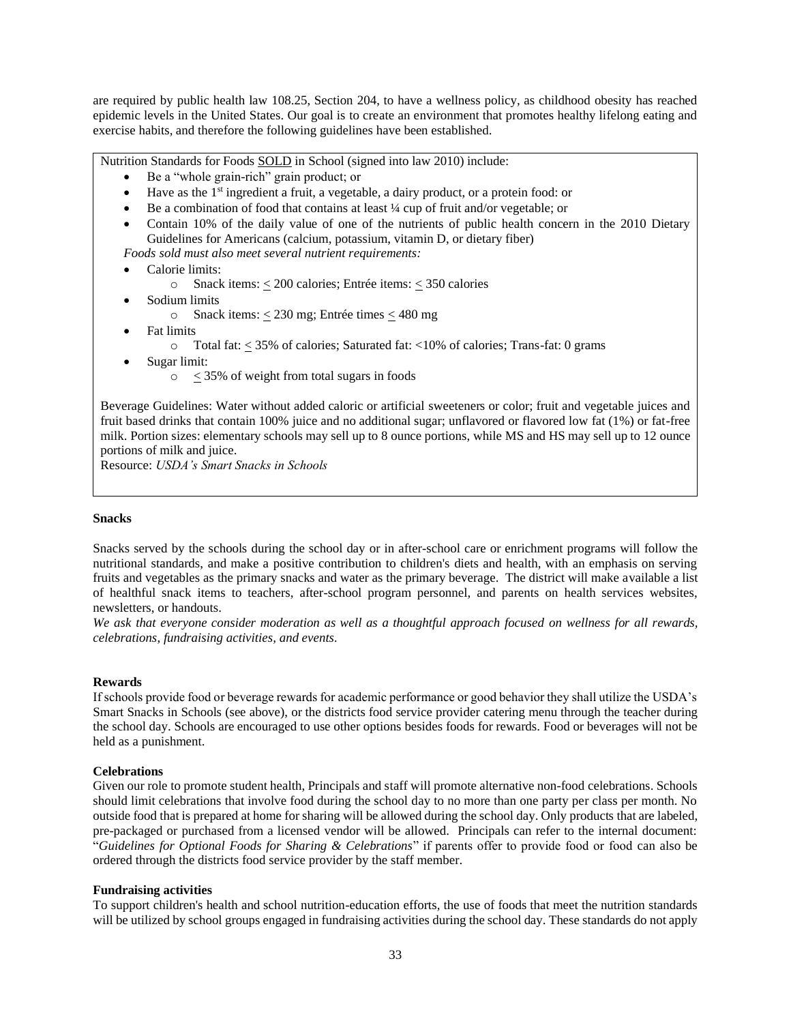are required by public health law 108.25, Section 204, to have a wellness policy, as childhood obesity has reached epidemic levels in the United States. Our goal is to create an environment that promotes healthy lifelong eating and exercise habits, and therefore the following guidelines have been established.

Nutrition Standards for Foods SOLD in School (signed into law 2010) include:

- Be a "whole grain-rich" grain product; or
- Have as the 1<sup>st</sup> ingredient a fruit, a vegetable, a dairy product, or a protein food: or
- Be a combination of food that contains at least ¼ cup of fruit and/or vegetable; or
- Contain 10% of the daily value of one of the nutrients of public health concern in the 2010 Dietary Guidelines for Americans (calcium, potassium, vitamin D, or dietary fiber)

*Foods sold must also meet several nutrient requirements:*

- Calorie limits:
	- o Snack items:  $\leq 200$  calories; Entrée items:  $\leq 350$  calories
- Sodium limits
	- o Snack items:  $\leq$  230 mg; Entrée times  $\leq$  480 mg
- Fat limits
	- o Total fat: < 35% of calories; Saturated fat: <10% of calories; Trans-fat: 0 grams
- Sugar limit:
	- $\circ$   $\leq$  35% of weight from total sugars in foods

Beverage Guidelines: Water without added caloric or artificial sweeteners or color; fruit and vegetable juices and fruit based drinks that contain 100% juice and no additional sugar; unflavored or flavored low fat (1%) or fat-free milk. Portion sizes: elementary schools may sell up to 8 ounce portions, while MS and HS may sell up to 12 ounce portions of milk and juice.

Resource: *USDA's Smart Snacks in Schools*

#### **Snacks**

Snacks served by the schools during the school day or in after-school care or enrichment programs will follow the nutritional standards, and make a positive contribution to children's diets and health, with an emphasis on serving fruits and vegetables as the primary snacks and water as the primary beverage. The district will make available a list of healthful snack items to teachers, after-school program personnel, and parents on health services websites, newsletters, or handouts.

*We ask that everyone consider moderation as well as a thoughtful approach focused on wellness for all rewards, celebrations, fundraising activities, and events.*

#### **Rewards**

If schools provide food or beverage rewards for academic performance or good behavior they shall utilize the USDA's Smart Snacks in Schools (see above), or the districts food service provider catering menu through the teacher during the school day. Schools are encouraged to use other options besides foods for rewards. Food or beverages will not be held as a punishment.

### **Celebrations**

Given our role to promote student health, Principals and staff will promote alternative non-food celebrations. Schools should limit celebrations that involve food during the school day to no more than one party per class per month. No outside food that is prepared at home for sharing will be allowed during the school day. Only products that are labeled, pre-packaged or purchased from a licensed vendor will be allowed. Principals can refer to the internal document: "*Guidelines for Optional Foods for Sharing & Celebrations*" if parents offer to provide food or food can also be ordered through the districts food service provider by the staff member.

#### **Fundraising activities**

To support children's health and school nutrition-education efforts, the use of foods that meet the nutrition standards will be utilized by school groups engaged in fundraising activities during the school day. These standards do not apply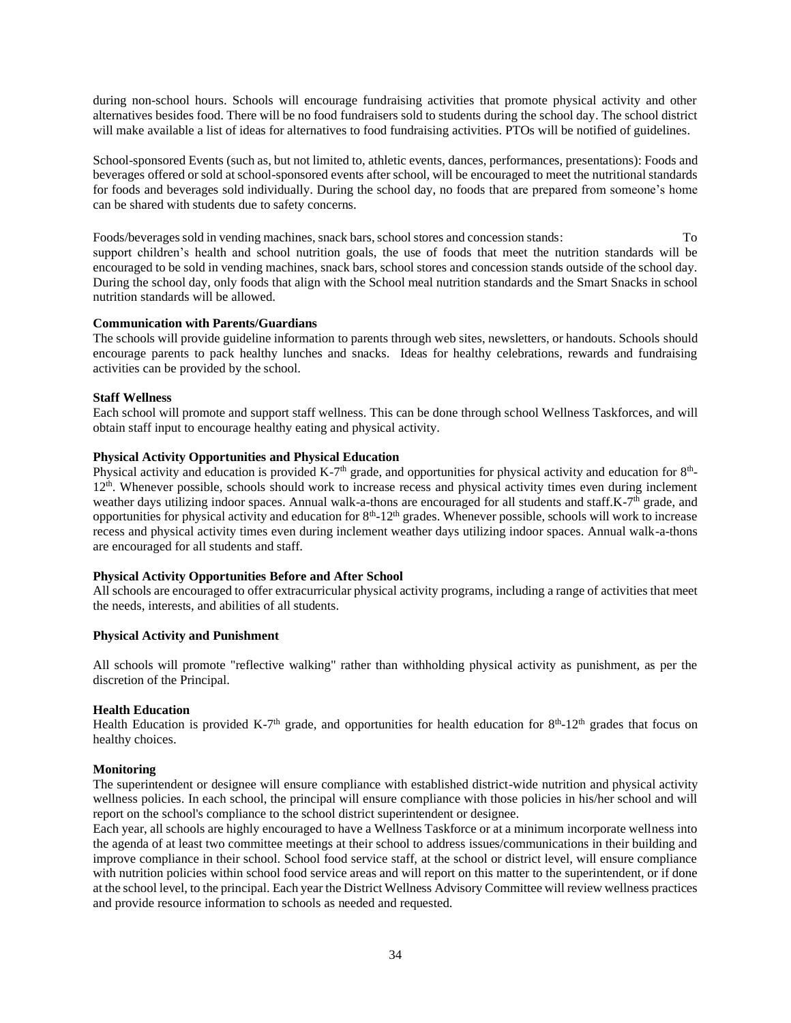during non-school hours. Schools will encourage fundraising activities that promote physical activity and other alternatives besides food. There will be no food fundraisers sold to students during the school day. The school district will make available a list of ideas for alternatives to food fundraising activities. PTOs will be notified of guidelines.

School-sponsored Events (such as, but not limited to, athletic events, dances, performances, presentations): Foods and beverages offered or sold at school-sponsored events after school, will be encouraged to meet the nutritional standards for foods and beverages sold individually. During the school day, no foods that are prepared from someone's home can be shared with students due to safety concerns.

Foods/beverages sold in vending machines, snack bars, school stores and concession stands: To support children's health and school nutrition goals, the use of foods that meet the nutrition standards will be encouraged to be sold in vending machines, snack bars, school stores and concession stands outside of the school day. During the school day, only foods that align with the School meal nutrition standards and the Smart Snacks in school nutrition standards will be allowed.

#### **Communication with Parents/Guardians**

The schools will provide guideline information to parents through web sites, newsletters, or handouts. Schools should encourage parents to pack healthy lunches and snacks. Ideas for healthy celebrations, rewards and fundraising activities can be provided by the school.

#### **Staff Wellness**

Each school will promote and support staff wellness. This can be done through school Wellness Taskforces, and will obtain staff input to encourage healthy eating and physical activity.

#### **Physical Activity Opportunities and Physical Education**

Physical activity and education is provided K-7<sup>th</sup> grade, and opportunities for physical activity and education for  $8<sup>th</sup>$ -12th. Whenever possible, schools should work to increase recess and physical activity times even during inclement weather days utilizing indoor spaces. Annual walk-a-thons are encouraged for all students and staff.K-7<sup>th</sup> grade, and opportunities for physical activity and education for  $8<sup>th</sup>$ -12<sup>th</sup> grades. Whenever possible, schools will work to increase recess and physical activity times even during inclement weather days utilizing indoor spaces. Annual walk-a-thons are encouraged for all students and staff.

#### **Physical Activity Opportunities Before and After School**

All schools are encouraged to offer extracurricular physical activity programs, including a range of activities that meet the needs, interests, and abilities of all students.

#### **Physical Activity and Punishment**

All schools will promote "reflective walking" rather than withholding physical activity as punishment, as per the discretion of the Principal.

### **Health Education**

Health Education is provided K-7<sup>th</sup> grade, and opportunities for health education for  $8<sup>th</sup>$ -12<sup>th</sup> grades that focus on healthy choices.

#### **Monitoring**

The superintendent or designee will ensure compliance with established district-wide nutrition and physical activity wellness policies. In each school, the principal will ensure compliance with those policies in his/her school and will report on the school's compliance to the school district superintendent or designee.

Each year, all schools are highly encouraged to have a Wellness Taskforce or at a minimum incorporate wellness into the agenda of at least two committee meetings at their school to address issues/communications in their building and improve compliance in their school. School food service staff, at the school or district level, will ensure compliance with nutrition policies within school food service areas and will report on this matter to the superintendent, or if done at the school level, to the principal. Each year the District Wellness Advisory Committee will review wellness practices and provide resource information to schools as needed and requested.